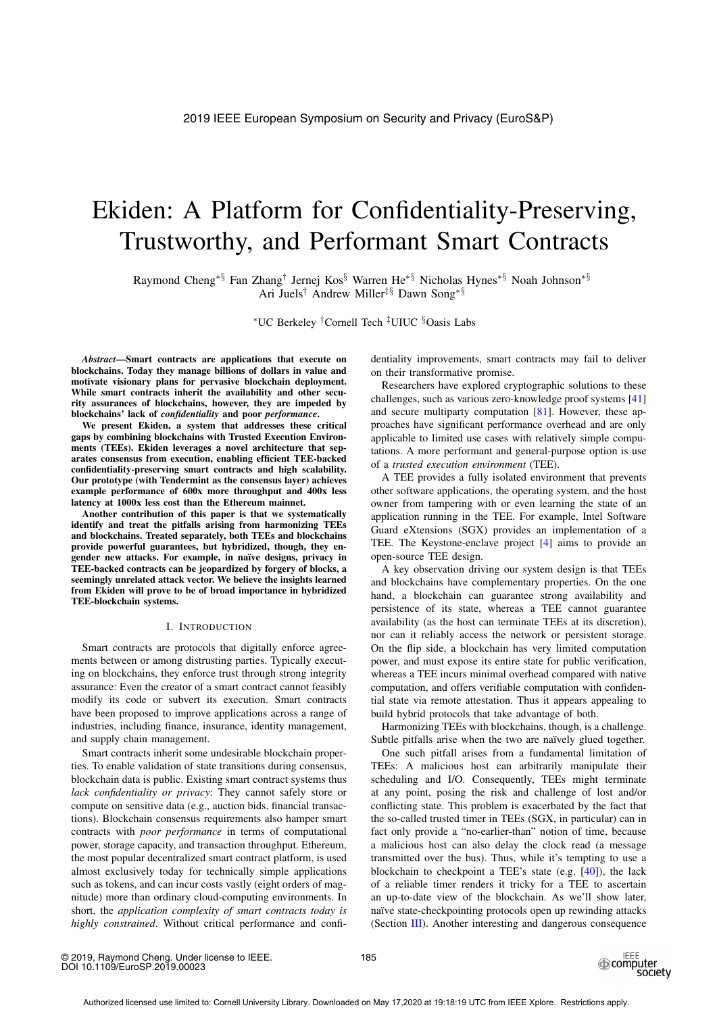# Ekiden: A Platform for Confidentiality-Preserving, Trustworthy, and Performant Smart Contracts

Raymond Cheng∗§ Fan Zhang† Jernej Kos§ Warren He∗§ Nicholas Hynes∗§ Noah Johnson∗§ Ari Juels† Andrew Miller‡§ Dawn Song∗§

∗UC Berkeley †Cornell Tech ‡UIUC §Oasis Labs

*Abstract*—Smart contracts are applications that execute on blockchains. Today they manage billions of dollars in value and motivate visionary plans for pervasive blockchain deployment. While smart contracts inherit the availability and other security assurances of blockchains, however, they are impeded by blockchains' lack of *confidentiality* and poor *performance*.

We present Ekiden, a system that addresses these critical gaps by combining blockchains with Trusted Execution Environments (TEEs). Ekiden leverages a novel architecture that separates consensus from execution, enabling efficient TEE-backed confidentiality-preserving smart contracts and high scalability. Our prototype (with Tendermint as the consensus layer) achieves example performance of 600x more throughput and 400x less latency at 1000x less cost than the Ethereum mainnet.

Another contribution of this paper is that we systematically identify and treat the pitfalls arising from harmonizing TEEs and blockchains. Treated separately, both TEEs and blockchains provide powerful guarantees, but hybridized, though, they engender new attacks. For example, in naïve designs, privacy in TEE-backed contracts can be jeopardized by forgery of blocks, a seemingly unrelated attack vector. We believe the insights learned from Ekiden will prove to be of broad importance in hybridized TEE-blockchain systems.

## I. INTRODUCTION

Smart contracts are protocols that digitally enforce agreements between or among distrusting parties. Typically executing on blockchains, they enforce trust through strong integrity assurance: Even the creator of a smart contract cannot feasibly modify its code or subvert its execution. Smart contracts have been proposed to improve applications across a range of industries, including finance, insurance, identity management, and supply chain management.

Smart contracts inherit some undesirable blockchain properties. To enable validation of state transitions during consensus, blockchain data is public. Existing smart contract systems thus *lack confidentiality or privacy*: They cannot safely store or compute on sensitive data (e.g., auction bids, financial transactions). Blockchain consensus requirements also hamper smart contracts with *poor performance* in terms of computational power, storage capacity, and transaction throughput. Ethereum, the most popular decentralized smart contract platform, is used almost exclusively today for technically simple applications such as tokens, and can incur costs vastly (eight orders of magnitude) more than ordinary cloud-computing environments. In short, the *application complexity of smart contracts today is highly constrained*. Without critical performance and confidentiality improvements, smart contracts may fail to deliver on their transformative promise.

Researchers have explored cryptographic solutions to these challenges, such as various zero-knowledge proof systems [41] and secure multiparty computation [81]. However, these approaches have significant performance overhead and are only applicable to limited use cases with relatively simple computations. A more performant and general-purpose option is use of a *trusted execution environment* (TEE).

A TEE provides a fully isolated environment that prevents other software applications, the operating system, and the host owner from tampering with or even learning the state of an application running in the TEE. For example, Intel Software Guard eXtensions (SGX) provides an implementation of a TEE. The Keystone-enclave project [4] aims to provide an open-source TEE design.

A key observation driving our system design is that TEEs and blockchains have complementary properties. On the one hand, a blockchain can guarantee strong availability and persistence of its state, whereas a TEE cannot guarantee availability (as the host can terminate TEEs at its discretion), nor can it reliably access the network or persistent storage. On the flip side, a blockchain has very limited computation power, and must expose its entire state for public verification, whereas a TEE incurs minimal overhead compared with native computation, and offers verifiable computation with confidential state via remote attestation. Thus it appears appealing to build hybrid protocols that take advantage of both.

Harmonizing TEEs with blockchains, though, is a challenge. Subtle pitfalls arise when the two are naïvely glued together.

One such pitfall arises from a fundamental limitation of TEEs: A malicious host can arbitrarily manipulate their scheduling and I/O. Consequently, TEEs might terminate at any point, posing the risk and challenge of lost and/or conflicting state. This problem is exacerbated by the fact that the so-called trusted timer in TEEs (SGX, in particular) can in fact only provide a "no-earlier-than" notion of time, because a malicious host can also delay the clock read (a message transmitted over the bus). Thus, while it's tempting to use a blockchain to checkpoint a TEE's state (e.g. [40]), the lack of a reliable timer renders it tricky for a TEE to ascertain an up-to-date view of the blockchain. As we'll show later, naïve state-checkpointing protocols open up rewinding attacks (Section III). Another interesting and dangerous consequence

© 2019, Raymond Cheng. Under license to IEEE. DOI 10.1109/EuroSP.2019.00023

185

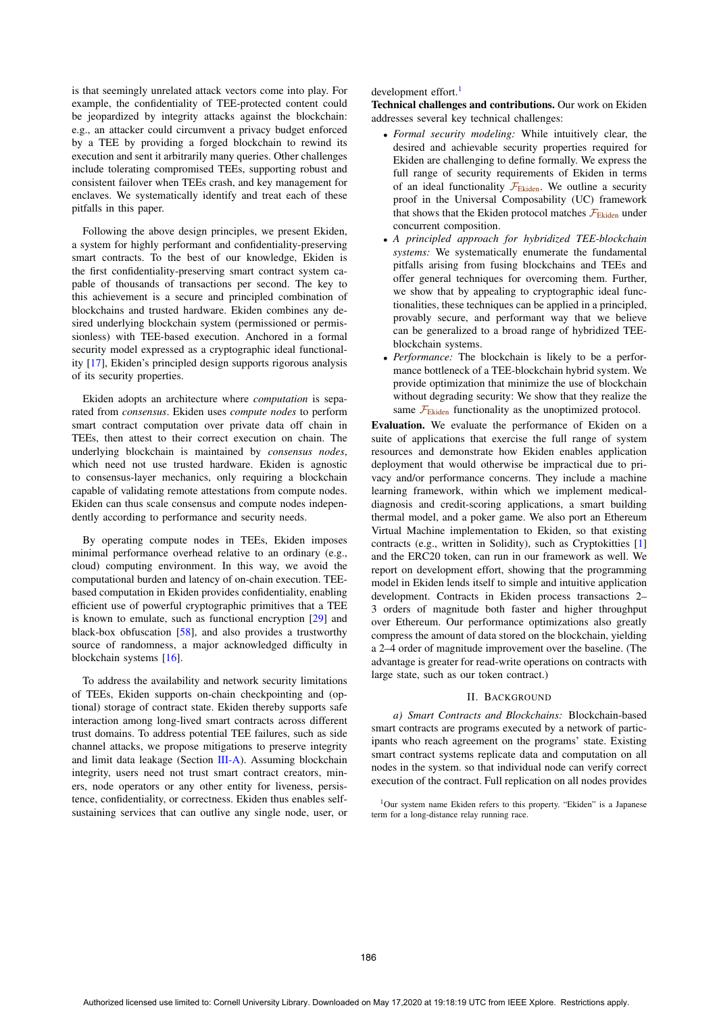is that seemingly unrelated attack vectors come into play. For example, the confidentiality of TEE-protected content could be jeopardized by integrity attacks against the blockchain: e.g., an attacker could circumvent a privacy budget enforced by a TEE by providing a forged blockchain to rewind its execution and sent it arbitrarily many queries. Other challenges include tolerating compromised TEEs, supporting robust and consistent failover when TEEs crash, and key management for enclaves. We systematically identify and treat each of these pitfalls in this paper.

Following the above design principles, we present Ekiden, a system for highly performant and confidentiality-preserving smart contracts. To the best of our knowledge, Ekiden is the first confidentiality-preserving smart contract system capable of thousands of transactions per second. The key to this achievement is a secure and principled combination of blockchains and trusted hardware. Ekiden combines any desired underlying blockchain system (permissioned or permissionless) with TEE-based execution. Anchored in a formal security model expressed as a cryptographic ideal functionality [17], Ekiden's principled design supports rigorous analysis of its security properties.

Ekiden adopts an architecture where *computation* is separated from *consensus*. Ekiden uses *compute nodes* to perform smart contract computation over private data off chain in TEEs, then attest to their correct execution on chain. The underlying blockchain is maintained by *consensus nodes*, which need not use trusted hardware. Ekiden is agnostic to consensus-layer mechanics, only requiring a blockchain capable of validating remote attestations from compute nodes. Ekiden can thus scale consensus and compute nodes independently according to performance and security needs.

By operating compute nodes in TEEs, Ekiden imposes minimal performance overhead relative to an ordinary (e.g., cloud) computing environment. In this way, we avoid the computational burden and latency of on-chain execution. TEEbased computation in Ekiden provides confidentiality, enabling efficient use of powerful cryptographic primitives that a TEE is known to emulate, such as functional encryption [29] and black-box obfuscation [58], and also provides a trustworthy source of randomness, a major acknowledged difficulty in blockchain systems [16].

To address the availability and network security limitations of TEEs, Ekiden supports on-chain checkpointing and (optional) storage of contract state. Ekiden thereby supports safe interaction among long-lived smart contracts across different trust domains. To address potential TEE failures, such as side channel attacks, we propose mitigations to preserve integrity and limit data leakage (Section III-A). Assuming blockchain integrity, users need not trust smart contract creators, miners, node operators or any other entity for liveness, persistence, confidentiality, or correctness. Ekiden thus enables selfsustaining services that can outlive any single node, user, or

# development effort.<sup>1</sup>

Technical challenges and contributions. Our work on Ekiden addresses several key technical challenges:

- *Formal security modeling:* While intuitively clear, the desired and achievable security properties required for Ekiden are challenging to define formally. We express the full range of security requirements of Ekiden in terms of an ideal functionality  $\mathcal{F}_{Ekiden}$ . We outline a security proof in the Universal Composability (UC) framework that shows that the Ekiden protocol matches  $\mathcal{F}_{Ekiden}$  under concurrent composition.
- *A principled approach for hybridized TEE-blockchain systems:* We systematically enumerate the fundamental pitfalls arising from fusing blockchains and TEEs and offer general techniques for overcoming them. Further, we show that by appealing to cryptographic ideal functionalities, these techniques can be applied in a principled, provably secure, and performant way that we believe can be generalized to a broad range of hybridized TEEblockchain systems.
- *Performance:* The blockchain is likely to be a performance bottleneck of a TEE-blockchain hybrid system. We provide optimization that minimize the use of blockchain without degrading security: We show that they realize the same  $\mathcal{F}_{\text{Ekiden}}$  functionality as the unoptimized protocol.

Evaluation. We evaluate the performance of Ekiden on a suite of applications that exercise the full range of system resources and demonstrate how Ekiden enables application deployment that would otherwise be impractical due to privacy and/or performance concerns. They include a machine learning framework, within which we implement medicaldiagnosis and credit-scoring applications, a smart building thermal model, and a poker game. We also port an Ethereum Virtual Machine implementation to Ekiden, so that existing contracts (e.g., written in Solidity), such as Cryptokitties [1] and the ERC20 token, can run in our framework as well. We report on development effort, showing that the programming model in Ekiden lends itself to simple and intuitive application development. Contracts in Ekiden process transactions 2– 3 orders of magnitude both faster and higher throughput over Ethereum. Our performance optimizations also greatly compress the amount of data stored on the blockchain, yielding a 2–4 order of magnitude improvement over the baseline. (The advantage is greater for read-write operations on contracts with large state, such as our token contract.)

## II. BACKGROUND

*a) Smart Contracts and Blockchains:* Blockchain-based smart contracts are programs executed by a network of participants who reach agreement on the programs' state. Existing smart contract systems replicate data and computation on all nodes in the system. so that individual node can verify correct execution of the contract. Full replication on all nodes provides

<sup>1</sup>Our system name Ekiden refers to this property. "Ekiden" is a Japanese term for a long-distance relay running race.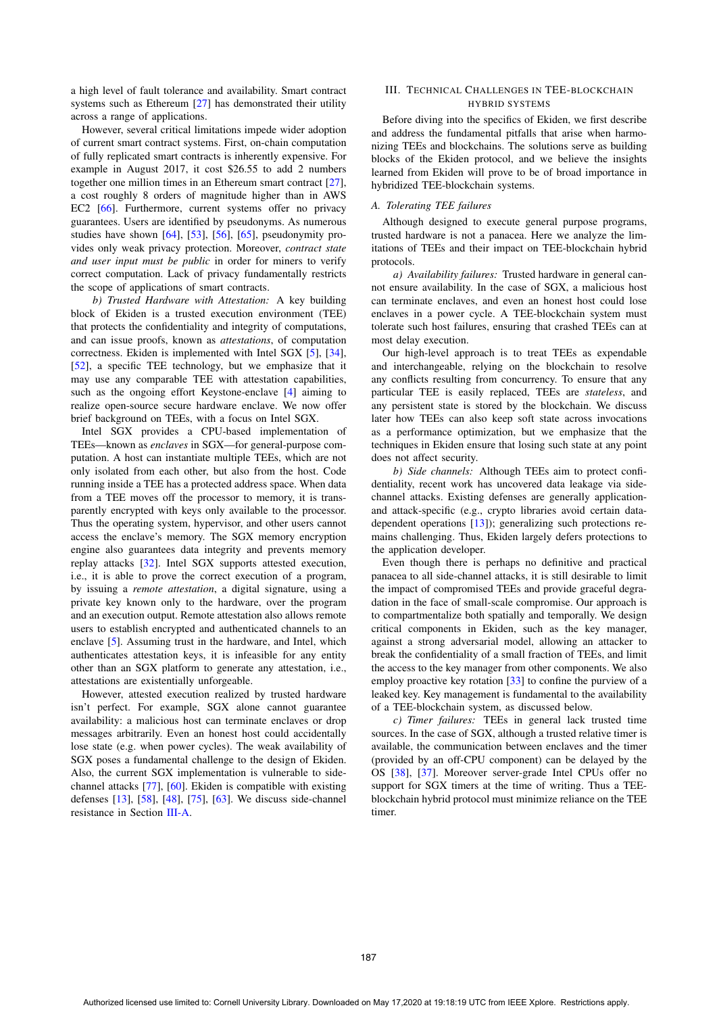a high level of fault tolerance and availability. Smart contract systems such as Ethereum [27] has demonstrated their utility across a range of applications.

However, several critical limitations impede wider adoption of current smart contract systems. First, on-chain computation of fully replicated smart contracts is inherently expensive. For example in August 2017, it cost \$26.55 to add 2 numbers together one million times in an Ethereum smart contract [27], a cost roughly 8 orders of magnitude higher than in AWS EC2 [66]. Furthermore, current systems offer no privacy guarantees. Users are identified by pseudonyms. As numerous studies have shown [64], [53], [56], [65], pseudonymity provides only weak privacy protection. Moreover, *contract state and user input must be public* in order for miners to verify correct computation. Lack of privacy fundamentally restricts the scope of applications of smart contracts.

*b) Trusted Hardware with Attestation:* A key building block of Ekiden is a trusted execution environment (TEE) that protects the confidentiality and integrity of computations, and can issue proofs, known as *attestations*, of computation correctness. Ekiden is implemented with Intel SGX [5], [34], [52], a specific TEE technology, but we emphasize that it may use any comparable TEE with attestation capabilities, such as the ongoing effort Keystone-enclave [4] aiming to realize open-source secure hardware enclave. We now offer brief background on TEEs, with a focus on Intel SGX.

Intel SGX provides a CPU-based implementation of TEEs—known as *enclaves* in SGX—for general-purpose computation. A host can instantiate multiple TEEs, which are not only isolated from each other, but also from the host. Code running inside a TEE has a protected address space. When data from a TEE moves off the processor to memory, it is transparently encrypted with keys only available to the processor. Thus the operating system, hypervisor, and other users cannot access the enclave's memory. The SGX memory encryption engine also guarantees data integrity and prevents memory replay attacks [32]. Intel SGX supports attested execution, i.e., it is able to prove the correct execution of a program, by issuing a *remote attestation*, a digital signature, using a private key known only to the hardware, over the program and an execution output. Remote attestation also allows remote users to establish encrypted and authenticated channels to an enclave [5]. Assuming trust in the hardware, and Intel, which authenticates attestation keys, it is infeasible for any entity other than an SGX platform to generate any attestation, i.e., attestations are existentially unforgeable.

However, attested execution realized by trusted hardware isn't perfect. For example, SGX alone cannot guarantee availability: a malicious host can terminate enclaves or drop messages arbitrarily. Even an honest host could accidentally lose state (e.g. when power cycles). The weak availability of SGX poses a fundamental challenge to the design of Ekiden. Also, the current SGX implementation is vulnerable to sidechannel attacks [77], [60]. Ekiden is compatible with existing defenses [13], [58], [48], [75], [63]. We discuss side-channel resistance in Section III-A.

# III. TECHNICAL CHALLENGES IN TEE-BLOCKCHAIN HYBRID SYSTEMS

Before diving into the specifics of Ekiden, we first describe and address the fundamental pitfalls that arise when harmonizing TEEs and blockchains. The solutions serve as building blocks of the Ekiden protocol, and we believe the insights learned from Ekiden will prove to be of broad importance in hybridized TEE-blockchain systems.

# *A. Tolerating TEE failures*

Although designed to execute general purpose programs, trusted hardware is not a panacea. Here we analyze the limitations of TEEs and their impact on TEE-blockchain hybrid protocols.

*a) Availability failures:* Trusted hardware in general cannot ensure availability. In the case of SGX, a malicious host can terminate enclaves, and even an honest host could lose enclaves in a power cycle. A TEE-blockchain system must tolerate such host failures, ensuring that crashed TEEs can at most delay execution.

Our high-level approach is to treat TEEs as expendable and interchangeable, relying on the blockchain to resolve any conflicts resulting from concurrency. To ensure that any particular TEE is easily replaced, TEEs are *stateless*, and any persistent state is stored by the blockchain. We discuss later how TEEs can also keep soft state across invocations as a performance optimization, but we emphasize that the techniques in Ekiden ensure that losing such state at any point does not affect security.

*b) Side channels:* Although TEEs aim to protect confidentiality, recent work has uncovered data leakage via sidechannel attacks. Existing defenses are generally applicationand attack-specific (e.g., crypto libraries avoid certain datadependent operations [13]); generalizing such protections remains challenging. Thus, Ekiden largely defers protections to the application developer.

Even though there is perhaps no definitive and practical panacea to all side-channel attacks, it is still desirable to limit the impact of compromised TEEs and provide graceful degradation in the face of small-scale compromise. Our approach is to compartmentalize both spatially and temporally. We design critical components in Ekiden, such as the key manager, against a strong adversarial model, allowing an attacker to break the confidentiality of a small fraction of TEEs, and limit the access to the key manager from other components. We also employ proactive key rotation [33] to confine the purview of a leaked key. Key management is fundamental to the availability of a TEE-blockchain system, as discussed below.

*c) Timer failures:* TEEs in general lack trusted time sources. In the case of SGX, although a trusted relative timer is available, the communication between enclaves and the timer (provided by an off-CPU component) can be delayed by the OS [38], [37]. Moreover server-grade Intel CPUs offer no support for SGX timers at the time of writing. Thus a TEEblockchain hybrid protocol must minimize reliance on the TEE timer.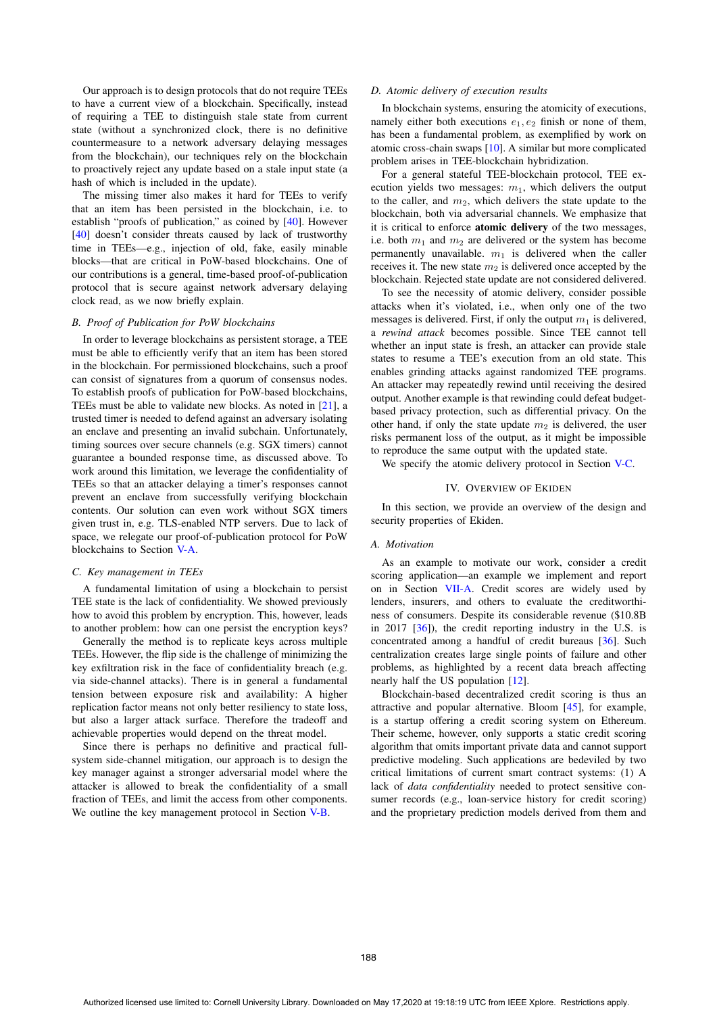Our approach is to design protocols that do not require TEEs to have a current view of a blockchain. Specifically, instead of requiring a TEE to distinguish stale state from current state (without a synchronized clock, there is no definitive countermeasure to a network adversary delaying messages from the blockchain), our techniques rely on the blockchain to proactively reject any update based on a stale input state (a hash of which is included in the update).

The missing timer also makes it hard for TEEs to verify that an item has been persisted in the blockchain, i.e. to establish "proofs of publication," as coined by [40]. However [40] doesn't consider threats caused by lack of trustworthy time in TEEs—e.g., injection of old, fake, easily minable blocks—that are critical in PoW-based blockchains. One of our contributions is a general, time-based proof-of-publication protocol that is secure against network adversary delaying clock read, as we now briefly explain.

## *B. Proof of Publication for PoW blockchains*

In order to leverage blockchains as persistent storage, a TEE must be able to efficiently verify that an item has been stored in the blockchain. For permissioned blockchains, such a proof can consist of signatures from a quorum of consensus nodes. To establish proofs of publication for PoW-based blockchains, TEEs must be able to validate new blocks. As noted in [21], a trusted timer is needed to defend against an adversary isolating an enclave and presenting an invalid subchain. Unfortunately, timing sources over secure channels (e.g. SGX timers) cannot guarantee a bounded response time, as discussed above. To work around this limitation, we leverage the confidentiality of TEEs so that an attacker delaying a timer's responses cannot prevent an enclave from successfully verifying blockchain contents. Our solution can even work without SGX timers given trust in, e.g. TLS-enabled NTP servers. Due to lack of space, we relegate our proof-of-publication protocol for PoW blockchains to Section V-A.

#### *C. Key management in TEEs*

A fundamental limitation of using a blockchain to persist TEE state is the lack of confidentiality. We showed previously how to avoid this problem by encryption. This, however, leads to another problem: how can one persist the encryption keys?

Generally the method is to replicate keys across multiple TEEs. However, the flip side is the challenge of minimizing the key exfiltration risk in the face of confidentiality breach (e.g. via side-channel attacks). There is in general a fundamental tension between exposure risk and availability: A higher replication factor means not only better resiliency to state loss, but also a larger attack surface. Therefore the tradeoff and achievable properties would depend on the threat model.

Since there is perhaps no definitive and practical fullsystem side-channel mitigation, our approach is to design the key manager against a stronger adversarial model where the attacker is allowed to break the confidentiality of a small fraction of TEEs, and limit the access from other components. We outline the key management protocol in Section V-B.

## *D. Atomic delivery of execution results*

In blockchain systems, ensuring the atomicity of executions, namely either both executions  $e_1, e_2$  finish or none of them, has been a fundamental problem, as exemplified by work on atomic cross-chain swaps [10]. A similar but more complicated problem arises in TEE-blockchain hybridization.

For a general stateful TEE-blockchain protocol, TEE execution yields two messages:  $m_1$ , which delivers the output to the caller, and  $m_2$ , which delivers the state update to the blockchain, both via adversarial channels. We emphasize that it is critical to enforce atomic delivery of the two messages, i.e. both  $m_1$  and  $m_2$  are delivered or the system has become permanently unavailable.  $m_1$  is delivered when the caller receives it. The new state  $m_2$  is delivered once accepted by the blockchain. Rejected state update are not considered delivered.

To see the necessity of atomic delivery, consider possible attacks when it's violated, i.e., when only one of the two messages is delivered. First, if only the output  $m_1$  is delivered, a *rewind attack* becomes possible. Since TEE cannot tell whether an input state is fresh, an attacker can provide stale states to resume a TEE's execution from an old state. This enables grinding attacks against randomized TEE programs. An attacker may repeatedly rewind until receiving the desired output. Another example is that rewinding could defeat budgetbased privacy protection, such as differential privacy. On the other hand, if only the state update  $m_2$  is delivered, the user risks permanent loss of the output, as it might be impossible to reproduce the same output with the updated state.

We specify the atomic delivery protocol in Section V-C.

#### IV. OVERVIEW OF EKIDEN

In this section, we provide an overview of the design and security properties of Ekiden.

## *A. Motivation*

As an example to motivate our work, consider a credit scoring application—an example we implement and report on in Section VII-A. Credit scores are widely used by lenders, insurers, and others to evaluate the creditworthiness of consumers. Despite its considerable revenue (\$10.8B in 2017 [36]), the credit reporting industry in the U.S. is concentrated among a handful of credit bureaus [36]. Such centralization creates large single points of failure and other problems, as highlighted by a recent data breach affecting nearly half the US population [12].

Blockchain-based decentralized credit scoring is thus an attractive and popular alternative. Bloom [45], for example, is a startup offering a credit scoring system on Ethereum. Their scheme, however, only supports a static credit scoring algorithm that omits important private data and cannot support predictive modeling. Such applications are bedeviled by two critical limitations of current smart contract systems: (1) A lack of *data confidentiality* needed to protect sensitive consumer records (e.g., loan-service history for credit scoring) and the proprietary prediction models derived from them and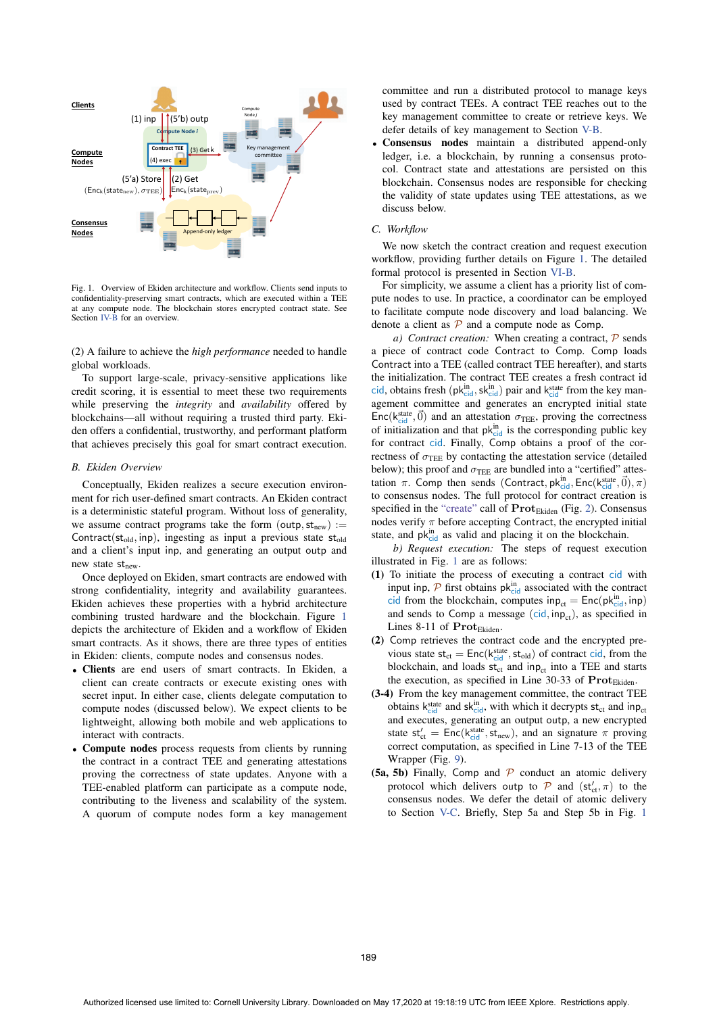

Fig. 1. Overview of Ekiden architecture and workflow. Clients send inputs to confidentiality-preserving smart contracts, which are executed within a TEE at any compute node. The blockchain stores encrypted contract state. See Section IV-B for an overview.

(2) A failure to achieve the *high performance* needed to handle global workloads.

To support large-scale, privacy-sensitive applications like credit scoring, it is essential to meet these two requirements while preserving the *integrity* and *availability* offered by blockchains—all without requiring a trusted third party. Ekiden offers a confidential, trustworthy, and performant platform that achieves precisely this goal for smart contract execution.

# *B. Ekiden Overview*

Conceptually, Ekiden realizes a secure execution environment for rich user-defined smart contracts. An Ekiden contract is a deterministic stateful program. Without loss of generality, we assume contract programs take the form (outp,  $st_{new}$ ) := Contract( $st_{old}$ , inp), ingesting as input a previous state  $st_{old}$ and a client's input inp, and generating an output outp and new state st<sub>new</sub>.

Once deployed on Ekiden, smart contracts are endowed with strong confidentiality, integrity and availability guarantees. Ekiden achieves these properties with a hybrid architecture combining trusted hardware and the blockchain. Figure 1 depicts the architecture of Ekiden and a workflow of Ekiden smart contracts. As it shows, there are three types of entities in Ekiden: clients, compute nodes and consensus nodes.

- Clients are end users of smart contracts. In Ekiden, a client can create contracts or execute existing ones with secret input. In either case, clients delegate computation to compute nodes (discussed below). We expect clients to be lightweight, allowing both mobile and web applications to interact with contracts.
- Compute nodes process requests from clients by running the contract in a contract TEE and generating attestations proving the correctness of state updates. Anyone with a TEE-enabled platform can participate as a compute node, contributing to the liveness and scalability of the system. A quorum of compute nodes form a key management

committee and run a distributed protocol to manage keys used by contract TEEs. A contract TEE reaches out to the key management committee to create or retrieve keys. We defer details of key management to Section V-B.

• Consensus nodes maintain a distributed append-only ledger, i.e. a blockchain, by running a consensus protocol. Contract state and attestations are persisted on this blockchain. Consensus nodes are responsible for checking the validity of state updates using TEE attestations, as we discuss below.

# *C. Workflow*

We now sketch the contract creation and request execution workflow, providing further details on Figure 1. The detailed formal protocol is presented in Section VI-B.

For simplicity, we assume a client has a priority list of compute nodes to use. In practice, a coordinator can be employed to facilitate compute node discovery and load balancing. We denote a client as  $P$  and a compute node as Comp.

*a) Contract creation:* When creating a contract,  $\mathcal{P}$  sends a piece of contract code Contract to Comp. Comp loads Contract into a TEE (called contract TEE hereafter), and starts the initialization. The contract TEE creates a fresh contract id cid, obtains fresh  $(pk_{\text{cid}}^{\text{in}})$ ,  $pk_{\text{cid}}^{\text{in}}$  pair and  $k_{\text{cid}}^{\text{state}}$  from the key man-<br>agement, committee and generates, an encrypted initial state agement committee and generates an encrypted initial state  $Enc(k_{\text{cide}}^{\text{state}}, \vec{0})$  and an attestation  $\sigma_{\text{TEE}}$ , proving the correctness<br>of initialization and that  $nk^{\text{in}}$ , is the corresponding public key of initialization and that  $pk_{cid}^{in}$  is the corresponding public key for contract cid. Finally, Comp obtains a proof of the correctness of  $\sigma$ <sub>TEE</sub> by contacting the attestation service (detailed below); this proof and  $\sigma$ <sub>TEE</sub> are bundled into a "certified" attestation  $\pi$ . Comp then sends (Contract, pk<sup>in</sup>, Enc(k<sup>state</sup>,  $\vec{0}$ ),  $\pi$ ) to consensus nodes. The full protocol for contract creation is to consensus nodes. The full protocol for contract creation is specified in the "create" call of Prot<sub>Ekiden</sub> (Fig. 2). Consensus nodes verify  $\pi$  before accepting Contract, the encrypted initial state, and  $pk_{cid}^{in}$  as valid and placing it on the blockchain.

*b) Request execution:* The steps of request execution illustrated in Fig. 1 are as follows:

- (1) To initiate the process of executing a contract cid with input inp,  $\mathcal P$  first obtains  $pk_{cid}^{in}$  associated with the contract cid from the blockchain, computes  $inp_{ct} = Enc(pk_{cid}^{in}, inp)$ and sends to Comp a message  $(cid, inp<sub>ct</sub>)$ , as specified in Lines 8-11 of Prot<sub>Ekiden</sub>.
- (2) Comp retrieves the contract code and the encrypted previous state  $st_{ct} = Enc(k_{cid}^{state}, st_{old})$  of contract cid, from the blockchain, and loads  $st_{cd}$ , and inn, into a TEE and starts blockchain, and loads  $st_{ct}$  and inp<sub>ct</sub> into a TEE and starts the execution, as specified in Line  $30-33$  of  $\text{Prot}_{\text{Ekiden}}$ .
- (3-4) From the key management committee, the contract TEE obtains  $k_{cid}^{state}$  and  $sk_{cid}^{in}$ , with which it decrypts  $st_{ct}$  and inp<sub>ct</sub> and executes, generating an output outp, a new encrypted state  $st'_{ct} = Enc(k_{cid}^{state}, st_{new})$ , and an signature  $\pi$  proving<br>correct computation, as specified in Line 7-13 of the TEE correct computation, as specified in Line 7-13 of the TEE Wrapper (Fig. 9).
- (5a, 5b) Finally, Comp and  $\mathcal P$  conduct an atomic delivery protocol which delivers outp to  $\mathcal{P}$  and  $(\mathsf{st}'_{\mathsf{ct}}, \pi)$  to the consensus nodes. We defer the detail of atomic delivery consensus nodes. We defer the detail of atomic delivery to Section V-C. Briefly, Step 5a and Step 5b in Fig. 1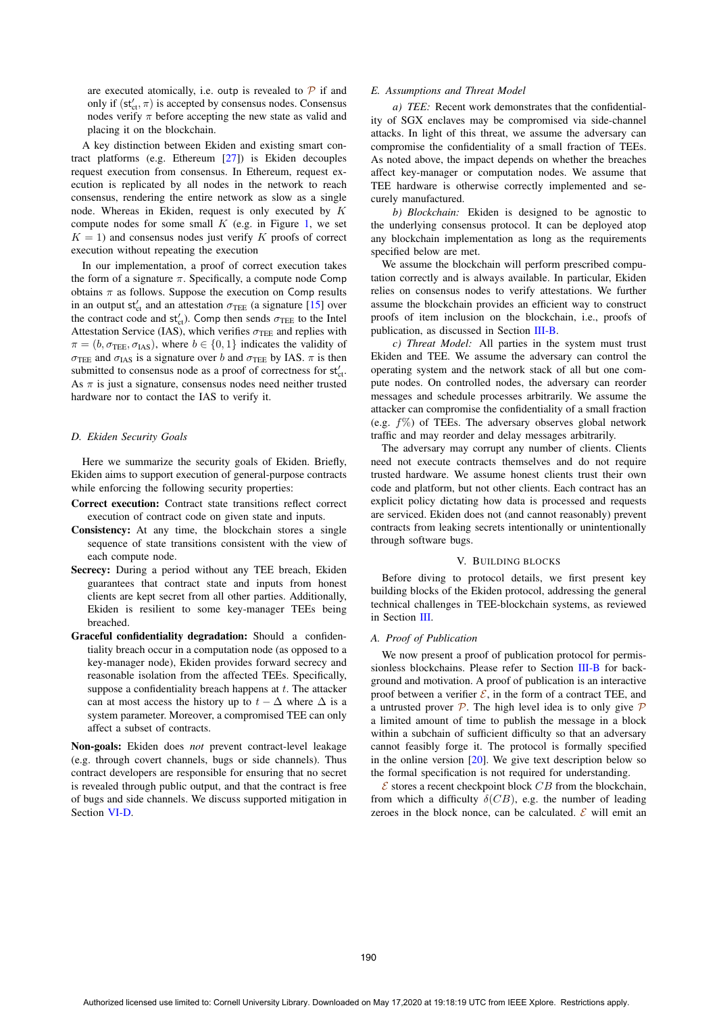are executed atomically, i.e. outp is revealed to  $\mathcal P$  if and only if  $(st'_{ct}, \pi)$  is accepted by consensus nodes. Consensus<br>nodes verify  $\pi$  before accepting the new state as valid and nodes verify  $\pi$  before accepting the new state as valid and placing it on the blockchain.

A key distinction between Ekiden and existing smart contract platforms (e.g. Ethereum [27]) is Ekiden decouples request execution from consensus. In Ethereum, request execution is replicated by all nodes in the network to reach consensus, rendering the entire network as slow as a single node. Whereas in Ekiden, request is only executed by K compute nodes for some small  $K$  (e.g. in Figure 1, we set  $K = 1$ ) and consensus nodes just verify K proofs of correct execution without repeating the execution

In our implementation, a proof of correct execution takes the form of a signature  $\pi$ . Specifically, a compute node Comp obtains  $\pi$  as follows. Suppose the execution on Comp results in an output  $st'_{ct}$  and an attestation  $\sigma_{\text{TEE}}$  (a signature [15] over<br>the contract code and  $st'$ ). Comp then sends  $\sigma_{\text{TEE}}$  to the Intel the contract code and  $st'_{ct}$ ). Comp then sends  $\sigma_{\text{TEE}}$  to the Intel<br>Attestation Service (IAS), which verifies  $\sigma_{\text{TEE}}$  and replies with Attestation Service (IAS), which verifies  $\sigma_{\text{TEE}}$  and replies with  $\pi = (b, \sigma_{\text{TEE}}, \sigma_{\text{IAS}})$ , where  $b \in \{0, 1\}$  indicates the validity of  $\sigma_{\text{TEE}}$  and  $\sigma_{\text{IAS}}$  is a signature over b and  $\sigma_{\text{TEE}}$  by IAS.  $\pi$  is then submitted to consensus node as a proof of correctness for  $st'_{ct}$ . As  $\pi$  is just a signature, consensus nodes need neither trusted hardware nor to contact the IAS to verify it.

#### *D. Ekiden Security Goals*

Here we summarize the security goals of Ekiden. Briefly, Ekiden aims to support execution of general-purpose contracts while enforcing the following security properties:

- Correct execution: Contract state transitions reflect correct execution of contract code on given state and inputs.
- Consistency: At any time, the blockchain stores a single sequence of state transitions consistent with the view of each compute node.
- Secrecy: During a period without any TEE breach, Ekiden guarantees that contract state and inputs from honest clients are kept secret from all other parties. Additionally, Ekiden is resilient to some key-manager TEEs being breached.
- Graceful confidentiality degradation: Should a confidentiality breach occur in a computation node (as opposed to a key-manager node), Ekiden provides forward secrecy and reasonable isolation from the affected TEEs. Specifically, suppose a confidentiality breach happens at  $t$ . The attacker can at most access the history up to  $t - \Delta$  where  $\Delta$  is a system parameter. Moreover, a compromised TEE can only affect a subset of contracts.

Non-goals: Ekiden does *not* prevent contract-level leakage (e.g. through covert channels, bugs or side channels). Thus contract developers are responsible for ensuring that no secret is revealed through public output, and that the contract is free of bugs and side channels. We discuss supported mitigation in Section VI-D.

#### *E. Assumptions and Threat Model*

*a) TEE:* Recent work demonstrates that the confidentiality of SGX enclaves may be compromised via side-channel attacks. In light of this threat, we assume the adversary can compromise the confidentiality of a small fraction of TEEs. As noted above, the impact depends on whether the breaches affect key-manager or computation nodes. We assume that TEE hardware is otherwise correctly implemented and securely manufactured.

*b) Blockchain:* Ekiden is designed to be agnostic to the underlying consensus protocol. It can be deployed atop any blockchain implementation as long as the requirements specified below are met.

We assume the blockchain will perform prescribed computation correctly and is always available. In particular, Ekiden relies on consensus nodes to verify attestations. We further assume the blockchain provides an efficient way to construct proofs of item inclusion on the blockchain, i.e., proofs of publication, as discussed in Section III-B.

*c) Threat Model:* All parties in the system must trust Ekiden and TEE. We assume the adversary can control the operating system and the network stack of all but one compute nodes. On controlled nodes, the adversary can reorder messages and schedule processes arbitrarily. We assume the attacker can compromise the confidentiality of a small fraction (e.g.  $f\%$ ) of TEEs. The adversary observes global network traffic and may reorder and delay messages arbitrarily.

The adversary may corrupt any number of clients. Clients need not execute contracts themselves and do not require trusted hardware. We assume honest clients trust their own code and platform, but not other clients. Each contract has an explicit policy dictating how data is processed and requests are serviced. Ekiden does not (and cannot reasonably) prevent contracts from leaking secrets intentionally or unintentionally through software bugs.

## V. BUILDING BLOCKS

Before diving to protocol details, we first present key building blocks of the Ekiden protocol, addressing the general technical challenges in TEE-blockchain systems, as reviewed in Section III.

## *A. Proof of Publication*

We now present a proof of publication protocol for permissionless blockchains. Please refer to Section III-B for background and motivation. A proof of publication is an interactive proof between a verifier  $\mathcal{E}$ , in the form of a contract TEE, and a untrusted prover  $P$ . The high level idea is to only give  $P$ a limited amount of time to publish the message in a block within a subchain of sufficient difficulty so that an adversary cannot feasibly forge it. The protocol is formally specified in the online version  $[20]$ . We give text description below so the formal specification is not required for understanding.

 $\mathcal E$  stores a recent checkpoint block CB from the blockchain, from which a difficulty  $\delta(CB)$ , e.g. the number of leading zeroes in the block nonce, can be calculated.  $\mathcal E$  will emit an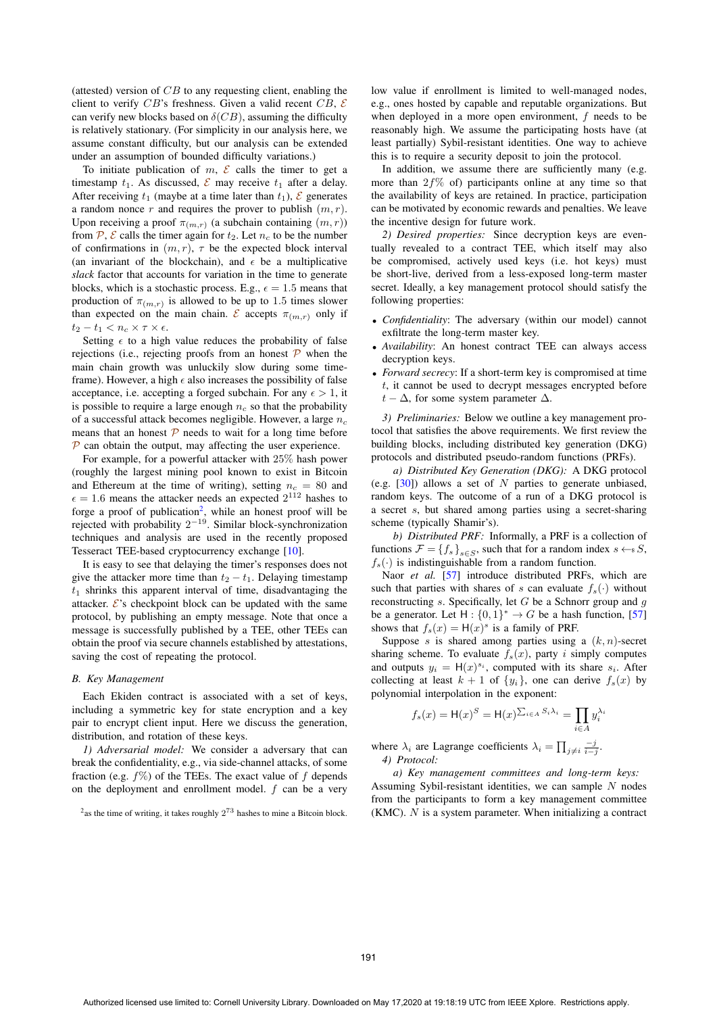(attested) version of  $CB$  to any requesting client, enabling the client to verify CB's freshness. Given a valid recent CB,  $\mathcal{E}$ can verify new blocks based on  $\delta(CB)$ , assuming the difficulty is relatively stationary. (For simplicity in our analysis here, we assume constant difficulty, but our analysis can be extended under an assumption of bounded difficulty variations.)

To initiate publication of  $m$ ,  $\mathcal E$  calls the timer to get a timestamp  $t_1$ . As discussed,  $\mathcal E$  may receive  $t_1$  after a delay. After receiving  $t_1$  (maybe at a time later than  $t_1$ ),  $\mathcal E$  generates a random nonce r and requires the prover to publish  $(m, r)$ . Upon receiving a proof  $\pi_{(m,r)}$  (a subchain containing  $(m, r)$ ) from  $\mathcal{P}, \mathcal{E}$  calls the timer again for  $t_2$ . Let  $n_c$  to be the number of confirmations in  $(m, r)$ ,  $\tau$  be the expected block interval (an invariant of the blockchain), and  $\epsilon$  be a multiplicative *slack* factor that accounts for variation in the time to generate blocks, which is a stochastic process. E.g.,  $\epsilon = 1.5$  means that production of  $\pi_{(m,r)}$  is allowed to be up to 1.5 times slower than expected on the main chain. E accepts  $\pi_{(m,r)}$  only if  $t_2 - t_1 < n_c \times \tau \times \epsilon$ .

Setting  $\epsilon$  to a high value reduces the probability of false rejections (i.e., rejecting proofs from an honest  $\mathcal P$  when the main chain growth was unluckily slow during some timeframe). However, a high  $\epsilon$  also increases the possibility of false acceptance, i.e. accepting a forged subchain. For any  $\epsilon > 1$ , it is possible to require a large enough  $n_c$  so that the probability of a successful attack becomes negligible. However, a large  $n_c$ means that an honest  $\mathcal P$  needs to wait for a long time before  $\mathcal P$  can obtain the output, may affecting the user experience.

For example, for a powerful attacker with 25% hash power (roughly the largest mining pool known to exist in Bitcoin and Ethereum at the time of writing), setting  $n_c = 80$  and  $\epsilon = 1.6$  means the attacker needs an expected  $2^{112}$  bashes to  $\epsilon = 1.6$  means the attacker needs an expected  $2^{112}$  hashes to forge a proof of publication<sup>2</sup> while an honest proof will be forge a proof of publication<sup>2</sup>, while an honest proof will be rejected with probability 2−<sup>19</sup>. Similar block-synchronization techniques and analysis are used in the recently proposed Tesseract TEE-based cryptocurrency exchange [10].

It is easy to see that delaying the timer's responses does not give the attacker more time than  $t_2 - t_1$ . Delaying timestamp  $t_1$  shrinks this apparent interval of time, disadvantaging the attacker.  $\mathcal{E}$ 's checkpoint block can be updated with the same protocol, by publishing an empty message. Note that once a message is successfully published by a TEE, other TEEs can obtain the proof via secure channels established by attestations, saving the cost of repeating the protocol.

#### *B. Key Management*

Each Ekiden contract is associated with a set of keys, including a symmetric key for state encryption and a key pair to encrypt client input. Here we discuss the generation, distribution, and rotation of these keys.

*1) Adversarial model:* We consider a adversary that can break the confidentiality, e.g., via side-channel attacks, of some fraction (e.g.  $f\%$ ) of the TEEs. The exact value of f depends on the deployment and enrollment model.  $f$  can be a very low value if enrollment is limited to well-managed nodes, e.g., ones hosted by capable and reputable organizations. But when deployed in a more open environment, f needs to be reasonably high. We assume the participating hosts have (at least partially) Sybil-resistant identities. One way to achieve this is to require a security deposit to join the protocol.

In addition, we assume there are sufficiently many (e.g. more than  $2f\%$  of) participants online at any time so that the availability of keys are retained. In practice, participation can be motivated by economic rewards and penalties. We leave the incentive design for future work.

*2) Desired properties:* Since decryption keys are eventually revealed to a contract TEE, which itself may also be compromised, actively used keys (i.e. hot keys) must be short-live, derived from a less-exposed long-term master secret. Ideally, a key management protocol should satisfy the following properties:

- *Confidentiality*: The adversary (within our model) cannot exfiltrate the long-term master key.
- *Availability*: An honest contract TEE can always access decryption keys.
- *Forward secrecy*: If a short-term key is compromised at time t, it cannot be used to decrypt messages encrypted before  $t - \Delta$ , for some system parameter  $\Delta$ .

*3) Preliminaries:* Below we outline a key management protocol that satisfies the above requirements. We first review the building blocks, including distributed key generation (DKG) protocols and distributed pseudo-random functions (PRFs).

*a) Distributed Key Generation (DKG):* A DKG protocol (e.g.  $[30]$ ) allows a set of N parties to generate unbiased, random keys. The outcome of a run of a DKG protocol is a secret s, but shared among parties using a secret-sharing scheme (typically Shamir's).

*b) Distributed PRF:* Informally, a PRF is a collection of functions  $\mathcal{F} = \{f_s\}_{s \in S}$ , such that for a random index  $s \leftarrow s S$ ,  $f_s(\cdot)$  is indistinguishable from a random function.

Naor *et al.* [57] introduce distributed PRFs, which are such that parties with shares of s can evaluate  $f_s(\cdot)$  without reconstructing s. Specifically, let G be a Schnorr group and  $q$ be a generator. Let  $H : \{0,1\}^* \to G$  be a hash function, [57] shows that  $f_s(x) = H(x)^s$  is a family of PRF.

Suppose s is shared among parties using a  $(k, n)$ -secret sharing scheme. To evaluate  $f_s(x)$ , party i simply computes and outputs  $y_i = H(x)^{s_i}$ , computed with its share  $s_i$ . After collecting at least  $k + 1$  of  $\{y_i\}$ , one can derive  $f_s(x)$  by polynomial interpolation in the exponent:

$$
f_s(x) = \mathsf{H}(x)^S = \mathsf{H}(x)^{\sum_{i \in A} S_i \lambda_i} = \prod_{i \in A} y_i^{\lambda_i}
$$

where  $\lambda_i$  are Lagrange coefficients  $\lambda_i = \prod_{j \neq i} \frac{-j}{i-j}$ . *4) Protocol:*

*a) Key management committees and long-term keys:* Assuming Sybil-resistant identities, we can sample  $N$  nodes from the participants to form a key management committee  $(KMC)$ . N is a system parameter. When initializing a contract

 $2$ as the time of writing, it takes roughly  $2^{73}$  hashes to mine a Bitcoin block.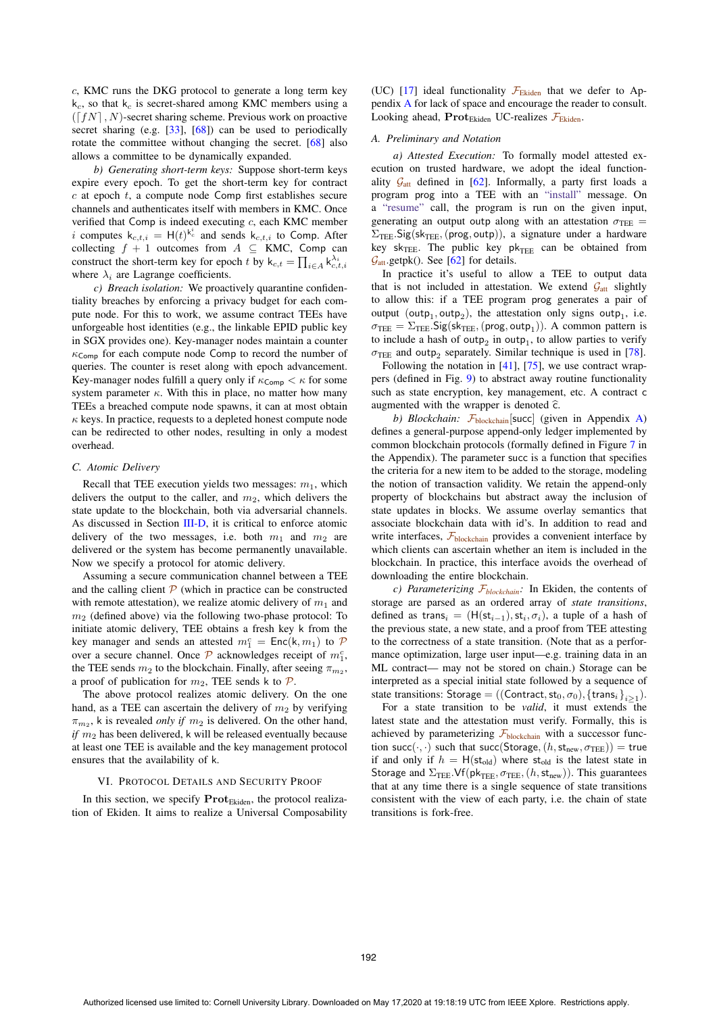c, KMC runs the DKG protocol to generate a long term key  $k_c$ , so that  $k_c$  is secret-shared among KMC members using a  $(\lceil fN \rceil, N)$ -secret sharing scheme. Previous work on proactive secret sharing (e.g. [33], [68]) can be used to periodically rotate the committee without changing the secret. [68] also allows a committee to be dynamically expanded.

*b) Generating short-term keys:* Suppose short-term keys expire every epoch. To get the short-term key for contract  $c$  at epoch  $t$ , a compute node Comp first establishes secure channels and authenticates itself with members in KMC. Once verified that Comp is indeed executing c, each KMC member i computes  $k_{c,t,i} = H(t)^{k_c^i}$  and sends  $k_{c,t,i}$  to Comp. After collecting  $f + 1$  outcomes from  $A \subset \text{KMC}$  Comp. can collecting  $f + 1$  outcomes from  $A \subseteq KMC$ , Comp can construct the short-term key for epoch t by  $k_{c,t} = \prod_{i \in A} k_{c,t,i}^{\lambda_i}$ where  $\lambda_i$  are Lagrange coefficients.

*c) Breach isolation:* We proactively quarantine confidentiality breaches by enforcing a privacy budget for each compute node. For this to work, we assume contract TEEs have unforgeable host identities (e.g., the linkable EPID public key in SGX provides one). Key-manager nodes maintain a counter  $\kappa_{\mathsf{Comp}}$  for each compute node Comp to record the number of queries. The counter is reset along with epoch advancement. Key-manager nodes fulfill a query only if  $\kappa_{\text{Comp}} < \kappa$  for some system parameter  $\kappa$ . With this in place, no matter how many TEEs a breached compute node spawns, it can at most obtain  $\kappa$  keys. In practice, requests to a depleted honest compute node can be redirected to other nodes, resulting in only a modest overhead.

# *C. Atomic Delivery*

Recall that TEE execution yields two messages:  $m_1$ , which delivers the output to the caller, and  $m_2$ , which delivers the state update to the blockchain, both via adversarial channels. As discussed in Section III-D, it is critical to enforce atomic delivery of the two messages, i.e. both  $m_1$  and  $m_2$  are delivered or the system has become permanently unavailable. Now we specify a protocol for atomic delivery.

Assuming a secure communication channel between a TEE and the calling client  $\mathcal P$  (which in practice can be constructed with remote attestation), we realize atomic delivery of  $m_1$  and  $m<sub>2</sub>$  (defined above) via the following two-phase protocol: To initiate atomic delivery, TEE obtains a fresh key k from the key manager and sends an attested  $m_1^c = \text{Enc}(\mathbf{k}, m_1)$  to  $\mathcal{P}$ <br>over a secure channel. Once  $\mathcal{P}$  acknowledges receipt of  $m^c$ over a secure channel. Once  $\mathcal P$  acknowledges receipt of  $m_1^c$ ,<br>the TEE sends  $m_2$  to the blockchain. Finally, after seeing  $\pi$ the TEE sends  $m_2$  to the blockchain. Finally, after seeing  $\pi_{m_2}$ , a proof of publication for  $m_2$ , TEE sends k to  $\mathcal{P}$ .

The above protocol realizes atomic delivery. On the one hand, as a TEE can ascertain the delivery of  $m_2$  by verifying  $\pi_{m_2}$ , k is revealed *only if*  $m_2$  is delivered. On the other hand, *if*  $m_2$  has been delivered, k will be released eventually because at least one TEE is available and the key management protocol ensures that the availability of k.

# VI. PROTOCOL DETAILS AND SECURITY PROOF

In this section, we specify  $\text{Prot}_{\text{Ekiden}}$ , the protocol realization of Ekiden. It aims to realize a Universal Composability

(UC) [17] ideal functionality  $\mathcal{F}_{Ekiden}$  that we defer to Appendix A for lack of space and encourage the reader to consult. Looking ahead,  $\text{Prot}_{\text{Ekiden}}$  UC-realizes  $\mathcal{F}_{\text{Ekiden}}$ .

## *A. Preliminary and Notation*

*a) Attested Execution:* To formally model attested execution on trusted hardware, we adopt the ideal functionality  $G_{\text{att}}$  defined in [62]. Informally, a party first loads a program prog into a TEE with an "install" message. On a "resume" call, the program is run on the given input, generating an output outp along with an attestation  $\sigma_{\text{TEE}} =$  $\Sigma_{\text{TEE}}$ . Sig(sk<sub>TEE</sub>, (prog, outp)), a signature under a hardware key sk<sub>TEE</sub>. The public key  $pk$ <sub>TEE</sub> can be obtained from  $\mathcal{G}_{\text{att}}$  getpk(). See [62] for details.

In practice it's useful to allow a TEE to output data that is not included in attestation. We extend  $\mathcal{G}_{\text{att}}$  slightly to allow this: if a TEE program prog generates a pair of output (outp<sub>1</sub>, outp<sub>2</sub>), the attestation only signs outp<sub>1</sub>, i.e.  $\sigma_{\text{TEE}} = \Sigma_{\text{TEE}}$ . Sig(sk<sub>TEE</sub>, (prog, outp<sub>1</sub>)). A common pattern is to include a hash of outp<sub>2</sub> in outp<sub>1</sub>, to allow parties to verify  $\sigma$ TEE and outp<sub>2</sub> separately. Similar technique is used in [78].

Following the notation in [41], [75], we use contract wrappers (defined in Fig. 9) to abstract away routine functionality such as state encryption, key management, etc. A contract c augmented with the wrapper is denoted  $\hat{\epsilon}$ .

*b) Blockchain:*  $\mathcal{F}_{blockchain}[succ]$  (given in Appendix A) defines a general-purpose append-only ledger implemented by common blockchain protocols (formally defined in Figure 7 in the Appendix). The parameter succ is a function that specifies the criteria for a new item to be added to the storage, modeling the notion of transaction validity. We retain the append-only property of blockchains but abstract away the inclusion of state updates in blocks. We assume overlay semantics that associate blockchain data with id's. In addition to read and write interfaces,  $\mathcal{F}_{\text{blockchain}}$  provides a convenient interface by which clients can ascertain whether an item is included in the blockchain. In practice, this interface avoids the overhead of downloading the entire blockchain.

*c) Parameterizing*  $\mathcal{F}_{blockchain}$ : In Ekiden, the contents of storage are parsed as an ordered array of *state transitions*, defined as trans<sub>i</sub> = (H(st<sub>i-1</sub>), st<sub>i</sub>,  $\sigma$ <sub>i</sub>), a tuple of a hash of the previous state, a new state, and a proof from TEE attesting to the correctness of a state transition. (Note that as a performance optimization, large user input—e.g. training data in an ML contract— may not be stored on chain.) Storage can be interpreted as a special initial state followed by a sequence of state transitions: Storage = ((Contract,  $st_0, \sigma_0$ ), {trans<sub>i</sub>}<sub>i</sub><sub>21</sub>).

For a state transition to be *valid*, it must extends the latest state and the attestation must verify. Formally, this is achieved by parameterizing  $\mathcal{F}_{\text{blockchain}}$  with a successor function succ $(\cdot, \cdot)$  such that succ(Storage,  $(h, st_{new}, \sigma_{\text{TEE}})) =$  true if and only if  $h = H(st_{old})$  where st<sub>old</sub> is the latest state in Storage and  $\Sigma_{\text{TEE}}$ . Vf(pk<sub>TEE</sub>,  $\sigma_{\text{TEE}}$ , (h, st<sub>new</sub>)). This guarantees that at any time there is a single sequence of state transitions consistent with the view of each party, i.e. the chain of state transitions is fork-free.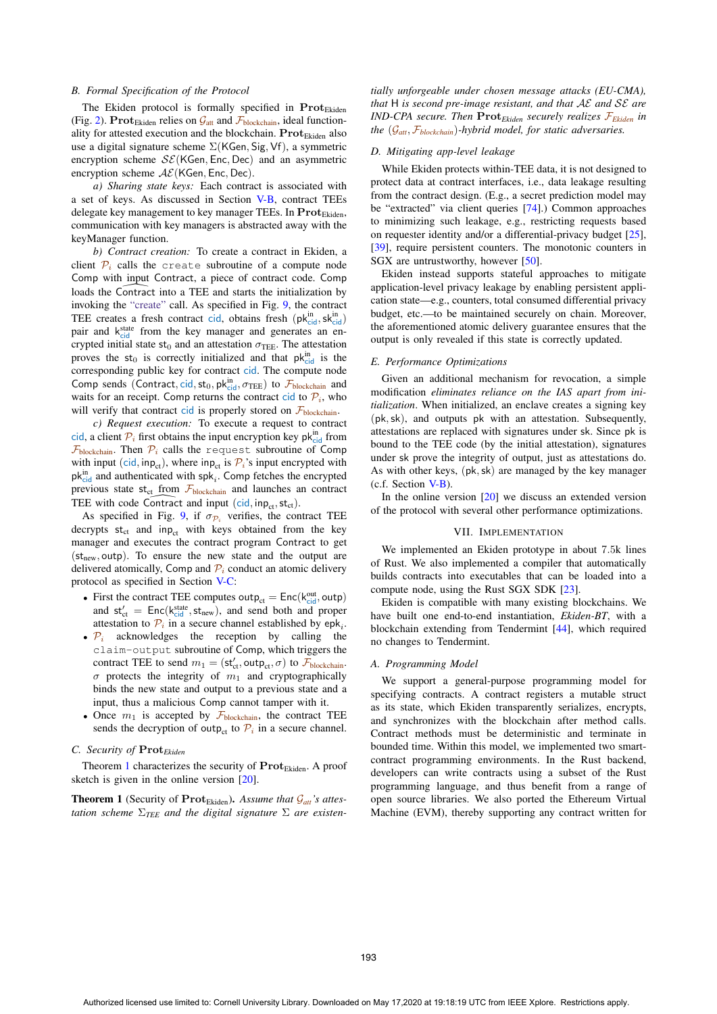#### *B. Formal Specification of the Protocol*

The Ekiden protocol is formally specified in **Prot**<sub>Ekiden</sub> (Fig. 2). **Prot**<sub>Ekiden</sub> relies on  $\mathcal{G}_{\text{att}}$  and  $\mathcal{F}_{\text{blockchain}}$ , ideal functionality for attested execution and the blockchain. **Prot**<sub>Ekiden</sub> also use a digital signature scheme Σ(KGen, Sig, Vf), a symmetric encryption scheme  $SE(KGen, Enc, Dec)$  and an asymmetric encryption scheme  $AE(KGen, Enc, Dec)$ .

*a) Sharing state keys:* Each contract is associated with a set of keys. As discussed in Section V-B, contract TEEs delegate key management to key manager TEEs. In **Prot**<sub>Ekiden</sub>, communication with key managers is abstracted away with the keyManager function.

*b) Contract creation:* To create a contract in Ekiden, a client  $P_i$  calls the create subroutine of a compute node Comp with input Contract, a piece of contract code. Comp client  $P_i$  calls the<br>Comp with input<br>loads the Contract loads the Contract into a TEE and starts the initialization by invoking the "create" call. As specified in Fig. 9, the contract TEE creates a fresh contract cid, obtains fresh  $(\mathsf{pk}_{\text{cid}}^{\text{in}})$ <br>pair and kitate from the key manager and generates an enpair and kstate from the key manager and generates an encrypted initial state  $st_0$  and an attestation  $\sigma_{\text{TEE}}$ . The attestation proves the  $st_0$  is correctly initialized and that  $pk_{cid}^{in}$  is the corresponding public key for contract cid. The compute node Comp sends (Contract, cid, st<sub>0</sub>, pk<sub>ind</sub>,  $\sigma_{\text{TEE}}$ ) to  $\mathcal{F}_{\text{blockchain}}$  and<br>waits for an receipt. Comp returns the contract cid to  $\mathcal{D}_{\text{c}}$  who waits for an receipt. Comp returns the contract cid to  $P_i$ , who will verify that contract cid is properly stored on  $\mathcal{F}_{\text{blockchain}}$ .

*c) Request execution:* To execute a request to contract cid, a client  $P_i$  first obtains the input encryption key pk $_{\text{cid}}^{\text{in}}$  from  $\mathcal{F}_{\text{blockchain}}$ . Then  $\mathcal{P}_i$  calls the request subroutine of Comp with input (cid, inp<sub>ct</sub>), where inp<sub>ct</sub> is  $\mathcal{P}_i$ 's input encrypted with pk<sub>cid</sub> and authenticated with spk<sub>i</sub>. Comp fetches the encrypted<br>previous state st<sub>ct</sub> from  $\mathcal{F}_{\text{blockchain}}$  and launches an contract<br>TEE with code Contract and input (cid, inp<sub>ct</sub>, st<sub>ct</sub>). previous state st<sub>ct</sub> from  $\mathcal{F}_{\text{blockchain}}$  and launches an contract TEE with code Contract and input  $(cid, inp_{ct}, st_{ct})$ .

As specified in Fig. 9, if  $\sigma_{\mathcal{P}_i}$  verifies, the contract TEE decrypts  $st_{ct}$  and inp<sub>ct</sub> with keys obtained from the key manager and executes the contract program Contract to get  $(st_{new}, outp)$ . To ensure the new state and the output are delivered atomically, Comp and  $\mathcal{P}_i$  conduct an atomic delivery protocol as specified in Section V-C:

- First the contract TEE computes outp<sub>ct</sub> =  $Enc(k_{\text{cid}}^{\text{out}}, \text{outp})$ <br>and st' =  $Enc(k_{\text{sid}}^{\text{state}} \text{ st})$  and send both and proper and  $\mathsf{st}'_{\mathsf{ct}} = \mathsf{Enc}(\mathsf{k}_{\mathsf{c}}^{\mathsf{state}}, \mathsf{st}_{\mathsf{new}})$ , and send both and proper<br>attestation to  $\mathcal{D}_{\mathsf{c}}$  in a secure channel established by enk. attestation to  $\mathcal{P}_i$  in a secure channel established by epk<sub>i</sub>.
- $P_i$  acknowledges the reception by calling the claim-output subroutine of Comp, which triggers the contract TEE to send  $m_1 = (\mathsf{st}_{\text{ct}}^t, \text{outp}_{\text{ct}}, \sigma)$  to  $\mathcal{F}_{\text{blockchain}}$ .  $\sigma$  protects the integrity of  $m_1$  and cryptographically binds the new state and output to a previous state and a input, thus a malicious Comp cannot tamper with it.
- Once  $m_1$  is accepted by  $\mathcal{F}_{\text{blockchain}}$ , the contract TEE sends the decryption of outp<sub>ct</sub> to  $\mathcal{P}_i$  in a secure channel.

## *C. Security of* **Prot***Ekiden*

Theorem 1 characterizes the security of Prot<sub>Ekiden</sub>. A proof sketch is given in the online version [20].

**Theorem 1** (Security of  $\text{Prot}_{\text{Ekiden}}$ ). Assume that  $\mathcal{G}_{att}$ 's attes*tation scheme*  $\Sigma_{\text{TEE}}$  *and the digital signature*  $\Sigma$  *are existen-* *tially unforgeable under chosen message attacks (EU-CMA), that* H *is second pre-image resistant, and that* AE *and* SE *are IND-CPA secure. Then* **Prot***Ekiden securely realizes* F*Ekiden in the* (G*att*, <sup>F</sup>*blockchain*)*-hybrid model, for static adversaries.*

# *D. Mitigating app-level leakage*

While Ekiden protects within-TEE data, it is not designed to protect data at contract interfaces, i.e., data leakage resulting from the contract design. (E.g., a secret prediction model may be "extracted" via client queries [74].) Common approaches to minimizing such leakage, e.g., restricting requests based on requester identity and/or a differential-privacy budget [25], [39], require persistent counters. The monotonic counters in SGX are untrustworthy, however [50].

Ekiden instead supports stateful approaches to mitigate application-level privacy leakage by enabling persistent application state—e.g., counters, total consumed differential privacy budget, etc.—to be maintained securely on chain. Moreover, the aforementioned atomic delivery guarantee ensures that the output is only revealed if this state is correctly updated.

## *E. Performance Optimizations*

Given an additional mechanism for revocation, a simple modification *eliminates reliance on the IAS apart from initialization*. When initialized, an enclave creates a signing key (pk,sk), and outputs pk with an attestation. Subsequently, attestations are replaced with signatures under sk. Since pk is bound to the TEE code (by the initial attestation), signatures under sk prove the integrity of output, just as attestations do. As with other keys, (pk,sk) are managed by the key manager (c.f. Section V-B).

In the online version  $[20]$  we discuss an extended version of the protocol with several other performance optimizations.

#### VII. IMPLEMENTATION

We implemented an Ekiden prototype in about <sup>7</sup>.5k lines of Rust. We also implemented a compiler that automatically builds contracts into executables that can be loaded into a compute node, using the Rust SGX SDK [23].

Ekiden is compatible with many existing blockchains. We have built one end-to-end instantiation, *Ekiden-BT*, with a blockchain extending from Tendermint [44], which required no changes to Tendermint.

#### *A. Programming Model*

We support a general-purpose programming model for specifying contracts. A contract registers a mutable struct as its state, which Ekiden transparently serializes, encrypts, and synchronizes with the blockchain after method calls. Contract methods must be deterministic and terminate in bounded time. Within this model, we implemented two smartcontract programming environments. In the Rust backend, developers can write contracts using a subset of the Rust programming language, and thus benefit from a range of open source libraries. We also ported the Ethereum Virtual Machine (EVM), thereby supporting any contract written for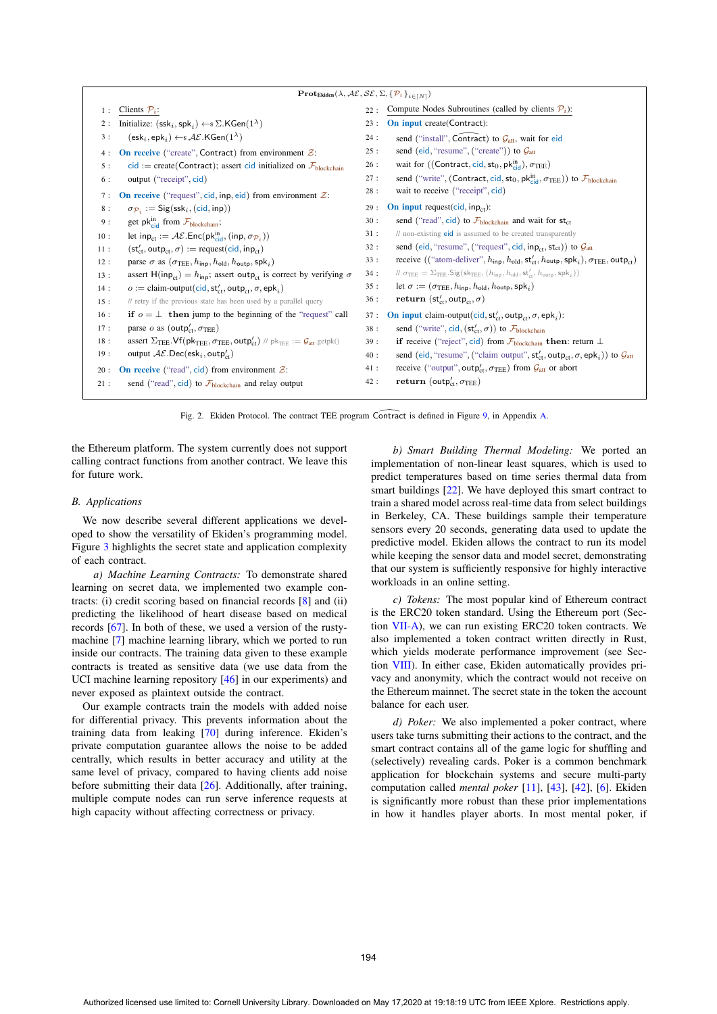| $\mathbf{Prot}_{\mathsf{Ekiden}}(\lambda, \mathcal{AE}, \mathcal{SE}, \Sigma, \{\mathcal{P}_i\}_{i \in [N]})$ |                                                                                                                                                                                                          |     |                                                                                                                                                                                          |  |  |  |
|---------------------------------------------------------------------------------------------------------------|----------------------------------------------------------------------------------------------------------------------------------------------------------------------------------------------------------|-----|------------------------------------------------------------------------------------------------------------------------------------------------------------------------------------------|--|--|--|
| 1:                                                                                                            | Clients $P_i$ :                                                                                                                                                                                          | 22: | Compute Nodes Subroutines (called by clients $P_i$ ):                                                                                                                                    |  |  |  |
| 2:                                                                                                            | Initialize: $(ssk_i, spk_i) \leftarrow$ $\Sigma$ . KGen $(1^{\lambda})$                                                                                                                                  | 23: | On input create(Contract):                                                                                                                                                               |  |  |  |
| 3:                                                                                                            | $(\mathsf{esk}_i, \mathsf{epk}_i) \leftarrow \mathcal{S} \mathcal{AE}.\mathsf{KGen}(1^{\lambda})$                                                                                                        | 24: | send ("install", Contract) to $G_{\text{att}}$ , wait for eid                                                                                                                            |  |  |  |
| 4:                                                                                                            | On receive ("create", Contract) from environment $\mathcal{Z}$ :                                                                                                                                         | 25: | send (eid, "resume", ("create")) to $\mathcal{G}_{\text{att}}$                                                                                                                           |  |  |  |
| 5:                                                                                                            | $cid := create(Contract); assert cid initialized on \mathcal{F}_{blockchain}$                                                                                                                            | 26: | wait for ((Contract, cid, st <sub>0</sub> , pk $_{\text{cid}}^{\text{in}}$ ), $\sigma_{\text{TEE}}$ )                                                                                    |  |  |  |
| 6 :                                                                                                           | output ("receipt", cid)                                                                                                                                                                                  | 27: | send ("write", (Contract, cid, st <sub>0</sub> , pkin, $\sigma_{\text{TEE}}$ )) to $\mathcal{F}_{\text{blockchain}}$                                                                     |  |  |  |
| 7:                                                                                                            | <b>On receive</b> ("request", cid, inp, eid) from environment $\mathcal{Z}$ :                                                                                                                            | 28: | wait to receive ("receipt", cid)                                                                                                                                                         |  |  |  |
| 8:                                                                                                            | $\sigma_{\mathcal{P}_i} := \mathsf{Sig}(\mathsf{ssk}_i, (\mathsf{cid}, \mathsf{inp}))$                                                                                                                   | 29: | <b>On input request(cid, inp<sub>ct</sub>):</b>                                                                                                                                          |  |  |  |
| 9:                                                                                                            | get $pk_{cid}^{in}$ from $\mathcal{F}_{blockchain}$ ;                                                                                                                                                    | 30: | send ("read", cid) to $\mathcal{F}_{\text{blockchain}}$ and wait for st <sub>ct</sub>                                                                                                    |  |  |  |
| 10:                                                                                                           | let in $p_{ct} := \mathcal{AE}$ . Enc $(pk_{cid}^{in}, (inp, \sigma_{\mathcal{P}_i}))$                                                                                                                   | 31: | // non-existing eid is assumed to be created transparently                                                                                                                               |  |  |  |
| 11:                                                                                                           | $(st'_{ct}, outp_{ct}, \sigma) := request(cid, inp_{ct})$                                                                                                                                                | 32: | send (eid, "resume", ("request", cid, inp <sub>ct</sub> , st <sub>ct</sub> )) to $\mathcal{G}_{\text{att}}$                                                                              |  |  |  |
| 12:                                                                                                           | parse $\sigma$ as $(\sigma_{\text{TEE}}, h_{\text{inn}}, h_{\text{old}}, h_{\text{outp}}, \text{spk}_i)$                                                                                                 | 33: | receive (("atom-deliver", $h_{\text{inp}}$ , $h_{\text{old}}$ , $\mathsf{st}'_{\text{ct}}$ , $h_{\text{outp}}$ , $\mathsf{spk}_i$ ), $\sigma_{\text{TEE}}$ , $\text{outp}_{\text{ct}}$ ) |  |  |  |
| 13:                                                                                                           | assert H(inp <sub>ct</sub> ) = $h_{\text{inp}}$ ; assert outp <sub>ct</sub> is correct by verifying $\sigma$                                                                                             | 34: | $\mathcal{U} \sigma_{\text{TEE}} = \Sigma_{\text{TEE}}$ . Sig(sk <sub>TEE</sub> , ( $h_{\text{inp}}$ , $h_{\text{old}}$ , st' <sub>(st</sub> , $h_{\text{outp}}$ , spk <sub>i</sub> ))   |  |  |  |
| 14:                                                                                                           | $o :=$ claim-output(cid, st' <sub>ct</sub> , outp <sub>ct</sub> , $\sigma$ , epk <sub>i</sub> )                                                                                                          | 35: | let $\sigma := (\sigma_{\text{TEE}}, h_{\text{inp}}, h_{\text{old}}, h_{\text{outp}}, \text{spk}_i)$                                                                                     |  |  |  |
| 15:                                                                                                           | // retry if the previous state has been used by a parallel query                                                                                                                                         | 36: | return (st <sub>ct</sub> , outp <sub>ct</sub> , $\sigma$ )                                                                                                                               |  |  |  |
| 16:                                                                                                           | if $o = \perp$ then jump to the beginning of the "request" call                                                                                                                                          | 37: | On input claim-output(cid, st <sub>ot</sub> , outp <sub>ct</sub> , $\sigma$ , epk <sub>i</sub> ):                                                                                        |  |  |  |
| 17:                                                                                                           | parse o as (outp <sub>ct</sub> , $\sigma_{\text{TEE}}$ )                                                                                                                                                 | 38: | send ("write", cid, $(st'_{ct}, \sigma)$ ) to $\mathcal{F}_{\text{blockchain}}$                                                                                                          |  |  |  |
| 18:                                                                                                           | assert $\Sigma_{\text{TEE}}.\mathsf{Vf}(\mathsf{pk}_{\textsf{TEE}}, \sigma_{\textsf{TEE}}, \textsf{outp}'_{\textsf{ct}})$ // $\mathsf{pk}_{\textsf{TEE}} := \mathcal{G}_{\textsf{att}}.\textsf{getpk}()$ | 39: | if receive ("reject", cid) from $\mathcal{F}_{\text{blockchain}}$ then: return $\perp$                                                                                                   |  |  |  |
| 19:                                                                                                           | output $\mathcal{AE}.\mathsf{Dec}(\mathsf{esk}_i,\mathsf{outp}'_{\mathsf{ct}})$                                                                                                                          | 40: | send (eid, "resume", ("claim output", $st'_{ct}$ , outp <sub>ct</sub> , $\sigma$ , epk <sub>i</sub> )) to $\mathcal{G}_{att}$                                                            |  |  |  |
| 20:                                                                                                           | On receive ("read", cid) from environment $\mathcal{Z}$ :                                                                                                                                                | 41: | receive ("output", outp <sub>ct</sub> , $\sigma_{\text{TEE}}$ ) from $\mathcal{G}_{\text{att}}$ or abort                                                                                 |  |  |  |
| 21:                                                                                                           | send ("read", cid) to $\mathcal{F}_{\text{blockchain}}$ and relay output                                                                                                                                 | 42: | return (outp <sub>ct</sub> , $\sigma_{\text{TEE}}$ )                                                                                                                                     |  |  |  |
|                                                                                                               | Fig. 2. Ekiden Protocol. The contract TEE program Contract is defined in Figure 9, in Appendix A.                                                                                                        |     |                                                                                                                                                                                          |  |  |  |

the Ethereum platform. The system currently does not support calling contract functions from another contract. We leave this for future work.

#### *B. Applications*

We now describe several different applications we developed to show the versatility of Ekiden's programming model. Figure 3 highlights the secret state and application complexity of each contract.

*a) Machine Learning Contracts:* To demonstrate shared learning on secret data, we implemented two example contracts: (i) credit scoring based on financial records [8] and (ii) predicting the likelihood of heart disease based on medical records [67]. In both of these, we used a version of the rustymachine [7] machine learning library, which we ported to run inside our contracts. The training data given to these example contracts is treated as sensitive data (we use data from the UCI machine learning repository [46] in our experiments) and never exposed as plaintext outside the contract.

Our example contracts train the models with added noise for differential privacy. This prevents information about the training data from leaking [70] during inference. Ekiden's private computation guarantee allows the noise to be added centrally, which results in better accuracy and utility at the same level of privacy, compared to having clients add noise before submitting their data [26]. Additionally, after training, multiple compute nodes can run serve inference requests at high capacity without affecting correctness or privacy.

*b) Smart Building Thermal Modeling:* We ported an implementation of non-linear least squares, which is used to predict temperatures based on time series thermal data from smart buildings [22]. We have deployed this smart contract to train a shared model across real-time data from select buildings in Berkeley, CA. These buildings sample their temperature sensors every 20 seconds, generating data used to update the predictive model. Ekiden allows the contract to run its model while keeping the sensor data and model secret, demonstrating that our system is sufficiently responsive for highly interactive workloads in an online setting.

*c) Tokens:* The most popular kind of Ethereum contract is the ERC20 token standard. Using the Ethereum port (Section VII-A), we can run existing ERC20 token contracts. We also implemented a token contract written directly in Rust, which yields moderate performance improvement (see Section VIII). In either case, Ekiden automatically provides privacy and anonymity, which the contract would not receive on the Ethereum mainnet. The secret state in the token the account balance for each user.

*d) Poker:* We also implemented a poker contract, where users take turns submitting their actions to the contract, and the smart contract contains all of the game logic for shuffling and (selectively) revealing cards. Poker is a common benchmark application for blockchain systems and secure multi-party computation called *mental poker* [11], [43], [42], [6]. Ekiden is significantly more robust than these prior implementations in how it handles player aborts. In most mental poker, if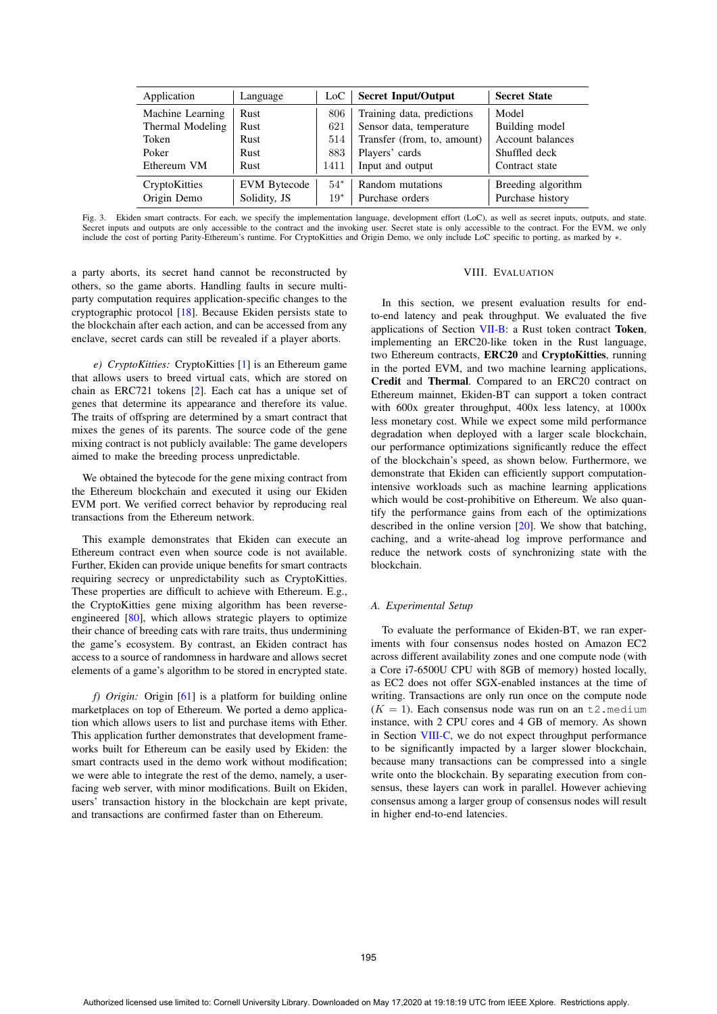| Application      | Language            | LoC . | <b>Secret Input/Output</b>  | <b>Secret State</b> |
|------------------|---------------------|-------|-----------------------------|---------------------|
| Machine Learning | Rust                | 806   | Training data, predictions  | Model               |
| Thermal Modeling | Rust                | 621   | Sensor data, temperature    | Building model      |
| Token            | <b>Rust</b>         | 514   | Transfer (from, to, amount) | Account balances    |
| Poker            | <b>Rust</b>         | 883   | Players' cards              | Shuffled deck       |
| Ethereum VM      | Rust                | 1411  | Input and output            | Contract state      |
| CryptoKitties    | <b>EVM</b> Bytecode | $54*$ | Random mutations            | Breeding algorithm  |
| Origin Demo      | Solidity, JS        | $19*$ | Purchase orders             | Purchase history    |

Fig. 3. Ekiden smart contracts. For each, we specify the implementation language, development effort (LoC), as well as secret inputs, outputs, and state. Secret inputs and outputs are only accessible to the contract and the invoking user. Secret state is only accessible to the contract. For the EVM, we only include the cost of porting Parity-Ethereum's runtime. For CryptoKitties and Origin Demo, we only include LoC specific to porting, as marked by ∗.

a party aborts, its secret hand cannot be reconstructed by others, so the game aborts. Handling faults in secure multiparty computation requires application-specific changes to the cryptographic protocol [18]. Because Ekiden persists state to the blockchain after each action, and can be accessed from any enclave, secret cards can still be revealed if a player aborts.

*e) CryptoKitties:* CryptoKitties [1] is an Ethereum game that allows users to breed virtual cats, which are stored on chain as ERC721 tokens [2]. Each cat has a unique set of genes that determine its appearance and therefore its value. The traits of offspring are determined by a smart contract that mixes the genes of its parents. The source code of the gene mixing contract is not publicly available: The game developers aimed to make the breeding process unpredictable.

We obtained the bytecode for the gene mixing contract from the Ethereum blockchain and executed it using our Ekiden EVM port. We verified correct behavior by reproducing real transactions from the Ethereum network.

This example demonstrates that Ekiden can execute an Ethereum contract even when source code is not available. Further, Ekiden can provide unique benefits for smart contracts requiring secrecy or unpredictability such as CryptoKitties. These properties are difficult to achieve with Ethereum. E.g., the CryptoKitties gene mixing algorithm has been reverseengineered [80], which allows strategic players to optimize their chance of breeding cats with rare traits, thus undermining the game's ecosystem. By contrast, an Ekiden contract has access to a source of randomness in hardware and allows secret elements of a game's algorithm to be stored in encrypted state.

*f) Origin:* Origin [61] is a platform for building online marketplaces on top of Ethereum. We ported a demo application which allows users to list and purchase items with Ether. This application further demonstrates that development frameworks built for Ethereum can be easily used by Ekiden: the smart contracts used in the demo work without modification; we were able to integrate the rest of the demo, namely, a userfacing web server, with minor modifications. Built on Ekiden, users' transaction history in the blockchain are kept private, and transactions are confirmed faster than on Ethereum.

#### VIII. EVALUATION

In this section, we present evaluation results for endto-end latency and peak throughput. We evaluated the five applications of Section VII-B: a Rust token contract Token, implementing an ERC20-like token in the Rust language, two Ethereum contracts, ERC20 and CryptoKitties, running in the ported EVM, and two machine learning applications, Credit and Thermal. Compared to an ERC20 contract on Ethereum mainnet, Ekiden-BT can support a token contract with 600x greater throughput, 400x less latency, at 1000x less monetary cost. While we expect some mild performance degradation when deployed with a larger scale blockchain, our performance optimizations significantly reduce the effect of the blockchain's speed, as shown below. Furthermore, we demonstrate that Ekiden can efficiently support computationintensive workloads such as machine learning applications which would be cost-prohibitive on Ethereum. We also quantify the performance gains from each of the optimizations described in the online version [20]. We show that batching, caching, and a write-ahead log improve performance and reduce the network costs of synchronizing state with the blockchain.

## *A. Experimental Setup*

To evaluate the performance of Ekiden-BT, we ran experiments with four consensus nodes hosted on Amazon EC2 across different availability zones and one compute node (with a Core i7-6500U CPU with 8GB of memory) hosted locally, as EC2 does not offer SGX-enabled instances at the time of writing. Transactions are only run once on the compute node  $(K = 1)$ . Each consensus node was run on an t2. medium instance, with 2 CPU cores and 4 GB of memory. As shown in Section VIII-C, we do not expect throughput performance to be significantly impacted by a larger slower blockchain, because many transactions can be compressed into a single write onto the blockchain. By separating execution from consensus, these layers can work in parallel. However achieving consensus among a larger group of consensus nodes will result in higher end-to-end latencies.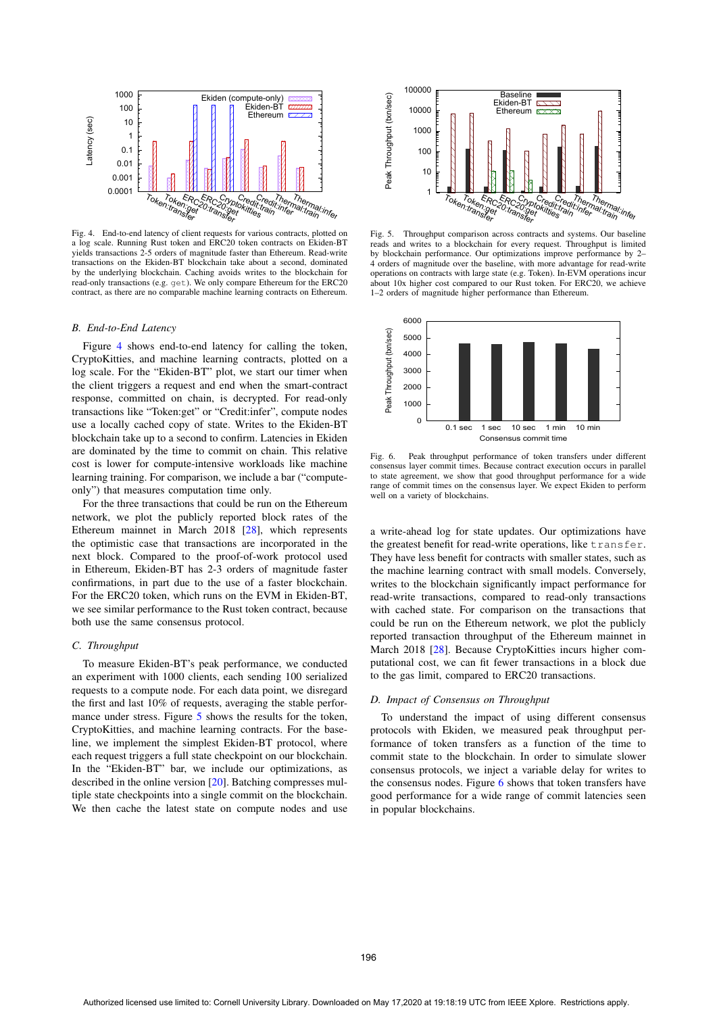

Fig. 4. End-to-end latency of client requests for various contracts, plotted on a log scale. Running Rust token and ERC20 token contracts on Ekiden-BT yields transactions 2-5 orders of magnitude faster than Ethereum. Read-write transactions on the Ekiden-BT blockchain take about a second, dominated by the underlying blockchain. Caching avoids writes to the blockchain for read-only transactions (e.g. get). We only compare Ethereum for the ERC20 contract, as there are no comparable machine learning contracts on Ethereum.

#### *B. End-to-End Latency*

Figure 4 shows end-to-end latency for calling the token, CryptoKitties, and machine learning contracts, plotted on a log scale. For the "Ekiden-BT" plot, we start our timer when the client triggers a request and end when the smart-contract response, committed on chain, is decrypted. For read-only transactions like "Token:get" or "Credit:infer", compute nodes use a locally cached copy of state. Writes to the Ekiden-BT blockchain take up to a second to confirm. Latencies in Ekiden are dominated by the time to commit on chain. This relative cost is lower for compute-intensive workloads like machine learning training. For comparison, we include a bar ("computeonly") that measures computation time only.

For the three transactions that could be run on the Ethereum network, we plot the publicly reported block rates of the Ethereum mainnet in March 2018 [28], which represents the optimistic case that transactions are incorporated in the next block. Compared to the proof-of-work protocol used in Ethereum, Ekiden-BT has 2-3 orders of magnitude faster confirmations, in part due to the use of a faster blockchain. For the ERC20 token, which runs on the EVM in Ekiden-BT, we see similar performance to the Rust token contract, because both use the same consensus protocol.

#### *C. Throughput*

To measure Ekiden-BT's peak performance, we conducted an experiment with 1000 clients, each sending 100 serialized requests to a compute node. For each data point, we disregard the first and last 10% of requests, averaging the stable performance under stress. Figure 5 shows the results for the token, CryptoKitties, and machine learning contracts. For the baseline, we implement the simplest Ekiden-BT protocol, where each request triggers a full state checkpoint on our blockchain. In the "Ekiden-BT" bar, we include our optimizations, as described in the online version [20]. Batching compresses multiple state checkpoints into a single commit on the blockchain. We then cache the latest state on compute nodes and use



Fig. 5. Throughput comparison across contracts and systems. Our baseline reads and writes to a blockchain for every request. Throughput is limited by blockchain performance. Our optimizations improve performance by 2– 4 orders of magnitude over the baseline, with more advantage for read-write operations on contracts with large state (e.g. Token). In-EVM operations incur about 10x higher cost compared to our Rust token. For ERC20, we achieve 1–2 orders of magnitude higher performance than Ethereum.



Fig. 6. Peak throughput performance of token transfers under different consensus layer commit times. Because contract execution occurs in parallel to state agreement, we show that good throughput performance for a wide range of commit times on the consensus layer. We expect Ekiden to perform well on a variety of blockchains.

a write-ahead log for state updates. Our optimizations have the greatest benefit for read-write operations, like transfer. They have less benefit for contracts with smaller states, such as the machine learning contract with small models. Conversely, writes to the blockchain significantly impact performance for read-write transactions, compared to read-only transactions with cached state. For comparison on the transactions that could be run on the Ethereum network, we plot the publicly reported transaction throughput of the Ethereum mainnet in March 2018 [28]. Because CryptoKitties incurs higher computational cost, we can fit fewer transactions in a block due to the gas limit, compared to ERC20 transactions.

#### *D. Impact of Consensus on Throughput*

To understand the impact of using different consensus protocols with Ekiden, we measured peak throughput performance of token transfers as a function of the time to commit state to the blockchain. In order to simulate slower consensus protocols, we inject a variable delay for writes to the consensus nodes. Figure 6 shows that token transfers have good performance for a wide range of commit latencies seen in popular blockchains.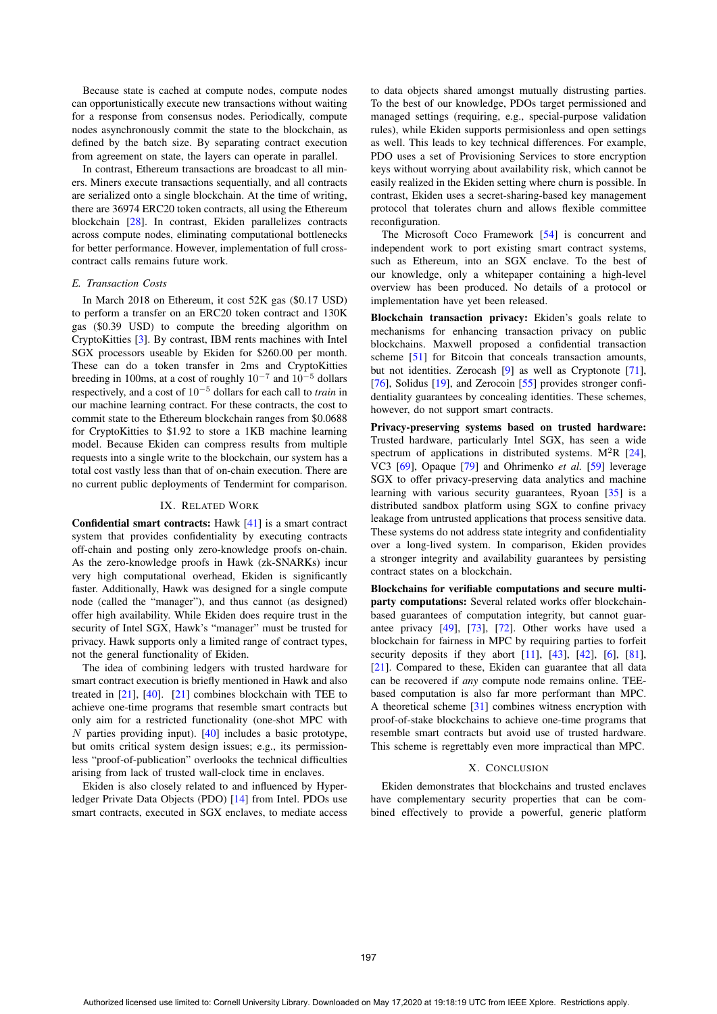Because state is cached at compute nodes, compute nodes can opportunistically execute new transactions without waiting for a response from consensus nodes. Periodically, compute nodes asynchronously commit the state to the blockchain, as defined by the batch size. By separating contract execution from agreement on state, the layers can operate in parallel.

In contrast, Ethereum transactions are broadcast to all miners. Miners execute transactions sequentially, and all contracts are serialized onto a single blockchain. At the time of writing, there are 36974 ERC20 token contracts, all using the Ethereum blockchain [28]. In contrast, Ekiden parallelizes contracts across compute nodes, eliminating computational bottlenecks for better performance. However, implementation of full crosscontract calls remains future work.

## *E. Transaction Costs*

In March 2018 on Ethereum, it cost 52K gas (\$0.17 USD) to perform a transfer on an ERC20 token contract and 130K gas (\$0.39 USD) to compute the breeding algorithm on CryptoKitties [3]. By contrast, IBM rents machines with Intel SGX processors useable by Ekiden for \$260.00 per month. These can do a token transfer in 2ms and CryptoKitties breeding in 100ms, at a cost of roughly 10−<sup>7</sup> and 10−<sup>5</sup> dollars respectively, and a cost of 10−<sup>5</sup> dollars for each call to *train* in our machine learning contract. For these contracts, the cost to commit state to the Ethereum blockchain ranges from \$0.0688 for CryptoKitties to \$1.92 to store a 1KB machine learning model. Because Ekiden can compress results from multiple requests into a single write to the blockchain, our system has a total cost vastly less than that of on-chain execution. There are no current public deployments of Tendermint for comparison.

#### IX. RELATED WORK

Confidential smart contracts: Hawk [41] is a smart contract system that provides confidentiality by executing contracts off-chain and posting only zero-knowledge proofs on-chain. As the zero-knowledge proofs in Hawk (zk-SNARKs) incur very high computational overhead, Ekiden is significantly faster. Additionally, Hawk was designed for a single compute node (called the "manager"), and thus cannot (as designed) offer high availability. While Ekiden does require trust in the security of Intel SGX, Hawk's "manager" must be trusted for privacy. Hawk supports only a limited range of contract types, not the general functionality of Ekiden.

The idea of combining ledgers with trusted hardware for smart contract execution is briefly mentioned in Hawk and also treated in  $[21]$ ,  $[40]$ .  $[21]$  combines blockchain with TEE to achieve one-time programs that resemble smart contracts but only aim for a restricted functionality (one-shot MPC with N parties providing input).  $[40]$  includes a basic prototype, but omits critical system design issues; e.g., its permissionless "proof-of-publication" overlooks the technical difficulties arising from lack of trusted wall-clock time in enclaves.

Ekiden is also closely related to and influenced by Hyperledger Private Data Objects (PDO) [14] from Intel. PDOs use smart contracts, executed in SGX enclaves, to mediate access

to data objects shared amongst mutually distrusting parties. To the best of our knowledge, PDOs target permissioned and managed settings (requiring, e.g., special-purpose validation rules), while Ekiden supports permisionless and open settings as well. This leads to key technical differences. For example, PDO uses a set of Provisioning Services to store encryption keys without worrying about availability risk, which cannot be easily realized in the Ekiden setting where churn is possible. In contrast, Ekiden uses a secret-sharing-based key management protocol that tolerates churn and allows flexible committee reconfiguration.

The Microsoft Coco Framework [54] is concurrent and independent work to port existing smart contract systems, such as Ethereum, into an SGX enclave. To the best of our knowledge, only a whitepaper containing a high-level overview has been produced. No details of a protocol or implementation have yet been released.

Blockchain transaction privacy: Ekiden's goals relate to mechanisms for enhancing transaction privacy on public blockchains. Maxwell proposed a confidential transaction scheme [51] for Bitcoin that conceals transaction amounts, but not identities. Zerocash [9] as well as Cryptonote [71], [76], Solidus [19], and Zerocoin [55] provides stronger confidentiality guarantees by concealing identities. These schemes, however, do not support smart contracts.

Privacy-preserving systems based on trusted hardware: Trusted hardware, particularly Intel SGX, has seen a wide spectrum of applications in distributed systems.  $M^2R$  [24], VC3 [69], Opaque [79] and Ohrimenko *et al.* [59] leverage SGX to offer privacy-preserving data analytics and machine learning with various security guarantees, Ryoan [35] is a distributed sandbox platform using SGX to confine privacy leakage from untrusted applications that process sensitive data. These systems do not address state integrity and confidentiality over a long-lived system. In comparison, Ekiden provides a stronger integrity and availability guarantees by persisting contract states on a blockchain.

Blockchains for verifiable computations and secure multiparty computations: Several related works offer blockchainbased guarantees of computation integrity, but cannot guarantee privacy [49], [73], [72]. Other works have used a blockchain for fairness in MPC by requiring parties to forfeit security deposits if they abort  $[11]$ ,  $[43]$ ,  $[42]$ ,  $[6]$ ,  $[81]$ , [21]. Compared to these, Ekiden can guarantee that all data can be recovered if *any* compute node remains online. TEEbased computation is also far more performant than MPC. A theoretical scheme [31] combines witness encryption with proof-of-stake blockchains to achieve one-time programs that resemble smart contracts but avoid use of trusted hardware. This scheme is regrettably even more impractical than MPC.

## X. CONCLUSION

Ekiden demonstrates that blockchains and trusted enclaves have complementary security properties that can be combined effectively to provide a powerful, generic platform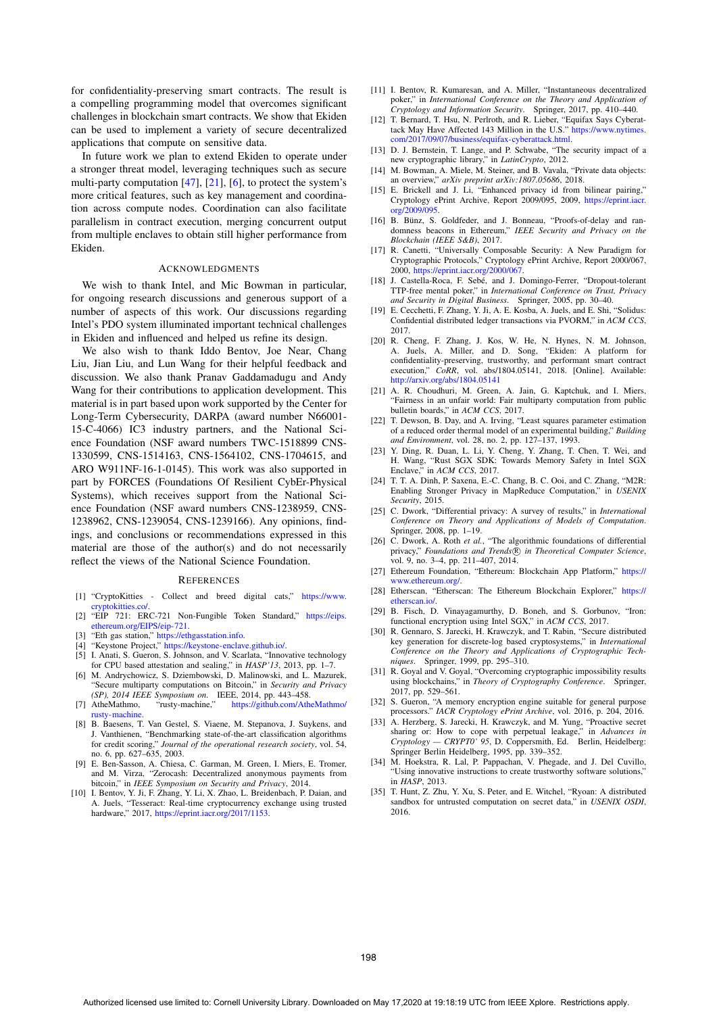for confidentiality-preserving smart contracts. The result is a compelling programming model that overcomes significant challenges in blockchain smart contracts. We show that Ekiden can be used to implement a variety of secure decentralized applications that compute on sensitive data.

In future work we plan to extend Ekiden to operate under a stronger threat model, leveraging techniques such as secure multi-party computation  $[47]$ ,  $[21]$ ,  $[6]$ , to protect the system's more critical features, such as key management and coordination across compute nodes. Coordination can also facilitate parallelism in contract execution, merging concurrent output from multiple enclaves to obtain still higher performance from Ekiden.

#### ACKNOWLEDGMENTS

We wish to thank Intel, and Mic Bowman in particular, for ongoing research discussions and generous support of a number of aspects of this work. Our discussions regarding Intel's PDO system illuminated important technical challenges in Ekiden and influenced and helped us refine its design.

We also wish to thank Iddo Bentov, Joe Near, Chang Liu, Jian Liu, and Lun Wang for their helpful feedback and discussion. We also thank Pranav Gaddamadugu and Andy Wang for their contributions to application development. This material is in part based upon work supported by the Center for Long-Term Cybersecurity, DARPA (award number N66001- 15-C-4066) IC3 industry partners, and the National Science Foundation (NSF award numbers TWC-1518899 CNS-1330599, CNS-1514163, CNS-1564102, CNS-1704615, and ARO W911NF-16-1-0145). This work was also supported in part by FORCES (Foundations Of Resilient CybEr-Physical Systems), which receives support from the National Science Foundation (NSF award numbers CNS-1238959, CNS-1238962, CNS-1239054, CNS-1239166). Any opinions, findings, and conclusions or recommendations expressed in this material are those of the author(s) and do not necessarily reflect the views of the National Science Foundation.

#### **REFERENCES**

- [1] "CryptoKitties Collect and breed digital cats," https://www. cryptokitties.co/.
- [2] "EIP 721: ERC-721 Non-Fungible Token Standard," https://eips. ethereum.org/EIPS/eip-721.
- [3] "Eth gas station," https://ethgasstation.info.
- [4] "Keystone Project," https://keystone-enclave.github.io/.
- [5] I. Anati, S. Gueron, S. Johnson, and V. Scarlata, "Innovative technology for CPU based attestation and sealing," in *HASP'13*, 2013, pp. 1–7.
- [6] M. Andrychowicz, S. Dziembowski, D. Malinowski, and L. Mazurek, "Secure multiparty computations on Bitcoin," in *Security and Privacy (SP), 2014 IEEE Symposium on*. IEEE, 2014, pp. 443–458.
- [7] AtheMathmo, "rusty-machine," https://github.com/AtheMathmo/ rusty-machine.
- [8] B. Baesens, T. Van Gestel, S. Viaene, M. Stepanova, J. Suykens, and J. Vanthienen, "Benchmarking state-of-the-art classification algorithms for credit scoring," *Journal of the operational research society*, vol. 54, no. 6, pp. 627–635, 2003.
- [9] E. Ben-Sasson, A. Chiesa, C. Garman, M. Green, I. Miers, E. Tromer, and M. Virza, "Zerocash: Decentralized anonymous payments from bitcoin," in *IEEE Symposium on Security and Privacy*, 2014.
- [10] I. Bentov, Y. Ji, F. Zhang, Y. Li, X. Zhao, L. Breidenbach, P. Daian, and A. Juels, "Tesseract: Real-time cryptocurrency exchange using trusted hardware," 2017, https://eprint.iacr.org/2017/1153.
- [11] I. Bentov, R. Kumaresan, and A. Miller, "Instantaneous decentralized poker," in *International Conference on the Theory and Application of Cryptology and Information Security*. Springer, 2017, pp. 410–440.
- [12] T. Bernard, T. Hsu, N. Perlroth, and R. Lieber, "Equifax Says Cyberattack May Have Affected 143 Million in the U.S." https://www.nytimes. com/2017/09/07/business/equifax-cyberattack.html.
- [13] D. J. Bernstein, T. Lange, and P. Schwabe, "The security impact of a new cryptographic library," in *LatinCrypto*, 2012.
- [14] M. Bowman, A. Miele, M. Steiner, and B. Vavala, "Private data objects: an overview," *arXiv preprint arXiv:1807.05686*, 2018.
- [15] E. Brickell and J. Li, "Enhanced privacy id from bilinear pairing," Cryptology ePrint Archive, Report 2009/095, 2009, https://eprint.iacr. org/2009/095.
- [16] B. Bünz, S. Goldfeder, and J. Bonneau, "Proofs-of-delay and randomness beacons in Ethereum," *IEEE Security and Privacy on the Blockchain (IEEE S&B)*, 2017.
- [17] R. Canetti, "Universally Composable Security: A New Paradigm for Cryptographic Protocols," Cryptology ePrint Archive, Report 2000/067, 2000, https://eprint.iacr.org/2000/067.
- [18] J. Castella-Roca, F. Sebé, and J. Domingo-Ferrer, "Dropout-tolerant TTP-free mental poker," in *International Conference on Trust, Privacy and Security in Digital Business*. Springer, 2005, pp. 30–40.
- [19] E. Cecchetti, F. Zhang, Y. Ji, A. E. Kosba, A. Juels, and E. Shi, "Solidus: Confidential distributed ledger transactions via PVORM," in *ACM CCS*, 2017.
- [20] R. Cheng, F. Zhang, J. Kos, W. He, N. Hynes, N. M. Johnson, A. Miller, and D. Song, "Ekiden: A platform for confidentiality-preserving, trustworthy, and performant smart contract execution," *CoRR*, vol. abs/1804.05141, 2018. [Online]. Available: http://arxiv.org/abs/1804.05141
- [21] A. R. Choudhuri, M. Green, A. Jain, G. Kaptchuk, and I. Miers, "Fairness in an unfair world: Fair multiparty computation from public bulletin boards," in *ACM CCS*, 2017.
- [22] T. Dewson, B. Day, and A. Irving, "Least squares parameter estimation of a reduced order thermal model of an experimental building," *Building and Environment*, vol. 28, no. 2, pp. 127–137, 1993.
- [23] Y. Ding, R. Duan, L. Li, Y. Cheng, Y. Zhang, T. Chen, T. Wei, and H. Wang, "Rust SGX SDK: Towards Memory Safety in Intel SGX Enclave," in *ACM CCS*, 2017.
- [24] T. T. A. Dinh, P. Saxena, E.-C. Chang, B. C. Ooi, and C. Zhang, "M2R: Enabling Stronger Privacy in MapReduce Computation," in *USENIX Security*, 2015.
- [25] C. Dwork, "Differential privacy: A survey of results," in *International Conference on Theory and Applications of Models of Computation*. Springer, 2008, pp. 1–19.
- [26] C. Dwork, A. Roth *et al.*, "The algorithmic foundations of differential privacy," Foundations and Trends<sup> $\ddot{\textbf{R}}$  in Theoretical Computer Science,</sup> vol. 9, no. 3–4, pp. 211–407, 2014.
- [27] Ethereum Foundation, "Ethereum: Blockchain App Platform," https:// www.ethereum.org/.
- [28] Etherscan, "Etherscan: The Ethereum Blockchain Explorer," https:// etherscan.io/.
- [29] B. Fisch, D. Vinayagamurthy, D. Boneh, and S. Gorbunov, "Iron: functional encryption using Intel SGX," in *ACM CCS*, 2017.
- [30] R. Gennaro, S. Jarecki, H. Krawczyk, and T. Rabin, "Secure distributed key generation for discrete-log based cryptosystems," in *International Conference on the Theory and Applications of Cryptographic Techniques*. Springer, 1999, pp. 295–310.
- [31] R. Goyal and V. Goyal, "Overcoming cryptographic impossibility results using blockchains," in *Theory of Cryptography Conference*. Springer, 2017, pp. 529–561.
- [32] S. Gueron, "A memory encryption engine suitable for general purpose processors." *IACR Cryptology ePrint Archive*, vol. 2016, p. 204, 2016.
- [33] A. Herzberg, S. Jarecki, H. Krawczyk, and M. Yung, "Proactive secret sharing or: How to cope with perpetual leakage," in *Advances in Cryptology — CRYPT0' 95*, D. Coppersmith, Ed. Berlin, Heidelberg: Springer Berlin Heidelberg, 1995, pp. 339–352.
- [34] M. Hoekstra, R. Lal, P. Pappachan, V. Phegade, and J. Del Cuvillo, "Using innovative instructions to create trustworthy software solutions," in *HASP*, 2013.
- [35] T. Hunt, Z. Zhu, Y. Xu, S. Peter, and E. Witchel, "Ryoan: A distributed sandbox for untrusted computation on secret data," in *USENIX OSDI*, 2016.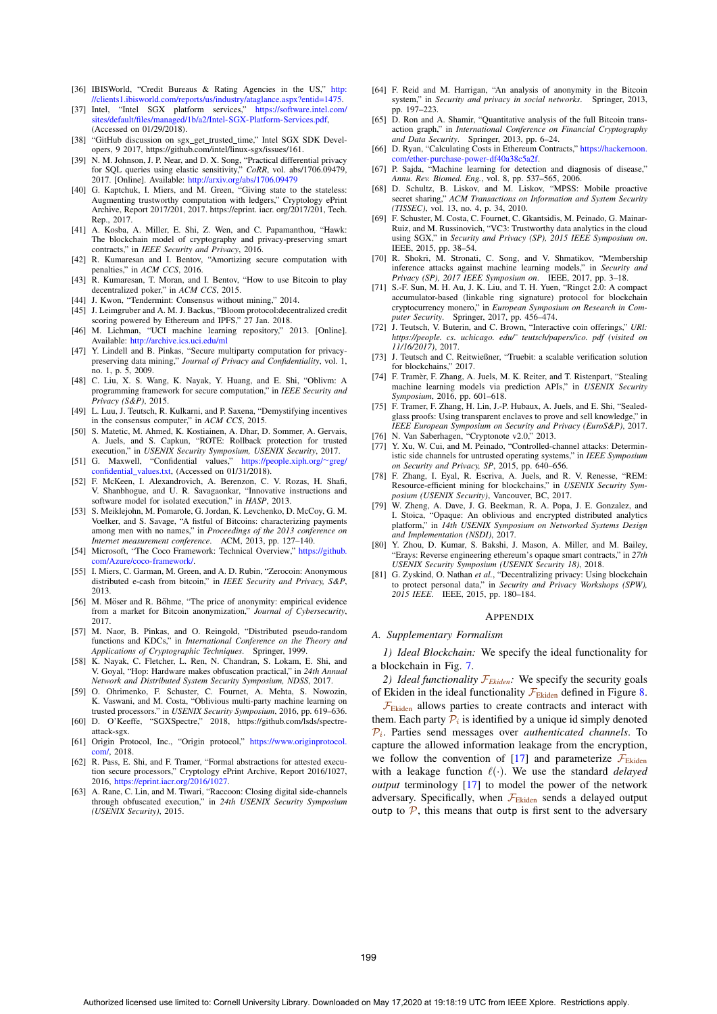- [36] IBISWorld, "Credit Bureaus & Rating Agencies in the US," http: //clients1.ibisworld.com/reports/us/industry/ataglance.aspx?entid=1475.
- [37] Intel, "Intel SGX platform services," https://software.intel.com/ sites/default/files/managed/1b/a2/Intel-SGX-Platform-Services.pdf, (Accessed on 01/29/2018).
- [38] "GitHub discussion on sgx\_get\_trusted\_time," Intel SGX SDK Developers, 9 2017, https://github.com/intel/linux-sgx/issues/161.
- [39] N. M. Johnson, J. P. Near, and D. X. Song, "Practical differential privacy for SQL queries using elastic sensitivity," *CoRR*, vol. abs/1706.09479, 2017. [Online]. Available: http://arxiv.org/abs/1706.09479
- [40] G. Kaptchuk, I. Miers, and M. Green, "Giving state to the stateless: Augmenting trustworthy computation with ledgers," Cryptology ePrint Archive, Report 2017/201, 2017. https://eprint. iacr. org/2017/201, Tech. Rep., 2017.
- [41] A. Kosba, A. Miller, E. Shi, Z. Wen, and C. Papamanthou, "Hawk: The blockchain model of cryptography and privacy-preserving smart contracts," in *IEEE Security and Privacy*, 2016.
- [42] R. Kumaresan and I. Bentov, "Amortizing secure computation with penalties," in *ACM CCS*, 2016.
- [43] R. Kumaresan, T. Moran, and I. Bentov, "How to use Bitcoin to play decentralized poker," in *ACM CCS*, 2015.
- [44] J. Kwon, "Tendermint: Consensus without mining," 2014.
- [45] J. Leimgruber and A. M. J. Backus, "Bloom protocol:decentralized credit scoring powered by Ethereum and IPFS," 27 Jan. 2018.
- [46] M. Lichman, "UCI machine learning repository," 2013. [Online]. Available: http://archive.ics.uci.edu/ml
- [47] Y. Lindell and B. Pinkas, "Secure multiparty computation for privacy preserving data mining," *Journal of Privacy and Confidentiality*, vol. 1, no. 1, p. 5, 2009.
- [48] C. Liu, X. S. Wang, K. Nayak, Y. Huang, and E. Shi, "Oblivm: A programming framework for secure computation," in *IEEE Security and Privacy (S&P)*, 2015.
- [49] L. Luu, J. Teutsch, R. Kulkarni, and P. Saxena, "Demystifying incentives in the consensus computer," in *ACM CCS*, 2015.
- [50] S. Matetic, M. Ahmed, K. Kostiainen, A. Dhar, D. Sommer, A. Gervais, A. Juels, and S. Capkun, "ROTE: Rollback protection for trusted execution," in *USENIX Security Symposium, USENIX Security*, 2017.
- [51] G. Maxwell, "Confidential values," https://people.xiph.org/∼greg/ confidential\_values.txt, (Accessed on  $01/31/2018$ ).
- [52] F. McKeen, I. Alexandrovich, A. Berenzon, C. V. Rozas, H. Shafi, V. Shanbhogue, and U. R. Savagaonkar, "Innovative instructions and software model for isolated execution," in *HASP*, 2013.
- [53] S. Meiklejohn, M. Pomarole, G. Jordan, K. Levchenko, D. McCoy, G. M. Voelker, and S. Savage, "A fistful of Bitcoins: characterizing payments among men with no names," in *Proceedings of the 2013 conference on Internet measurement conference*. ACM, 2013, pp. 127–140.
- [54] Microsoft, "The Coco Framework: Technical Overview," https://github. com/Azure/coco-framework/.
- [55] I. Miers, C. Garman, M. Green, and A. D. Rubin, "Zerocoin: Anonymous distributed e-cash from bitcoin," in *IEEE Security and Privacy, S&P*, 2013.
- [56] M. Möser and R. Böhme, "The price of anonymity: empirical evidence from a market for Bitcoin anonymization," *Journal of Cybersecurity*, 2017.
- [57] M. Naor, B. Pinkas, and O. Reingold, "Distributed pseudo-random functions and KDCs," in *International Conference on the Theory and Applications of Cryptographic Techniques*. Springer, 1999.
- [58] K. Nayak, C. Fletcher, L. Ren, N. Chandran, S. Lokam, E. Shi, and V. Goyal, "Hop: Hardware makes obfuscation practical," in *24th Annual Network and Distributed System Security Symposium, NDSS*, 2017.
- [59] O. Ohrimenko, F. Schuster, C. Fournet, A. Mehta, S. Nowozin, K. Vaswani, and M. Costa, "Oblivious multi-party machine learning on trusted processors." in *USENIX Security Symposium*, 2016, pp. 619–636.
- [60] D. O'Keeffe, "SGXSpectre," 2018, https://github.com/lsds/spectreattack-sgx.
- [61] Origin Protocol, Inc., "Origin protocol," https://www.originprotocol. com/, 2018.
- [62] R. Pass, E. Shi, and F. Tramer, "Formal abstractions for attested execution secure processors," Cryptology ePrint Archive, Report 2016/1027, 2016, https://eprint.iacr.org/2016/1027.
- [63] A. Rane, C. Lin, and M. Tiwari, "Raccoon: Closing digital side-channels through obfuscated execution," in *24th USENIX Security Symposium (USENIX Security)*, 2015.
- [64] F. Reid and M. Harrigan, "An analysis of anonymity in the Bitcoin system," in *Security and privacy in social networks*. Springer, 2013, pp. 197–223.
- [65] D. Ron and A. Shamir, "Quantitative analysis of the full Bitcoin transaction graph," in *International Conference on Financial Cryptography and Data Security*. Springer, 2013, pp. 6–24.
- [66] D. Ryan, "Calculating Costs in Ethereum Contracts," https://hackernoon. com/ether-purchase-power-df40a38c5a2f.
- [67] P. Sajda, "Machine learning for detection and diagnosis of disease," *Annu. Rev. Biomed. Eng.*, vol. 8, pp. 537–565, 2006.
- [68] D. Schultz, B. Liskov, and M. Liskov, "MPSS: Mobile proactive secret sharing," *ACM Transactions on Information and System Security (TISSEC)*, vol. 13, no. 4, p. 34, 2010.
- [69] F. Schuster, M. Costa, C. Fournet, C. Gkantsidis, M. Peinado, G. Mainar-Ruiz, and M. Russinovich, "VC3: Trustworthy data analytics in the cloud using SGX," in *Security and Privacy (SP), 2015 IEEE Symposium on*. IEEE, 2015, pp. 38–54.
- [70] R. Shokri, M. Stronati, C. Song, and V. Shmatikov, "Membership inference attacks against machine learning models," in *Security and Privacy (SP), 2017 IEEE Symposium on*. IEEE, 2017, pp. 3–18.
- [71] S.-F. Sun, M. H. Au, J. K. Liu, and T. H. Yuen, "Ringct 2.0: A compact accumulator-based (linkable ring signature) protocol for blockchain cryptocurrency monero," in *European Symposium on Research in Computer Security*. Springer, 2017, pp. 456–474.
- [72] J. Teutsch, V. Buterin, and C. Brown, "Interactive coin offerings," *URl: https://people. cs. uchicago. edu/˜ teutsch/papers/ico. pdf (visited on 11/16/2017)*, 2017.
- [73] J. Teutsch and C. Reitwießner, "Truebit: a scalable verification solution for blockchains," 2017.
- [74] F. Tramèr, F. Zhang, A. Juels, M. K. Reiter, and T. Ristenpart, "Stealing machine learning models via prediction APIs," in *USENIX Security Symposium*, 2016, pp. 601–618.
- [75] F. Tramer, F. Zhang, H. Lin, J.-P. Hubaux, A. Juels, and E. Shi, "Sealedglass proofs: Using transparent enclaves to prove and sell knowledge," in *IEEE European Symposium on Security and Privacy (EuroS&P)*, 2017. [76] N. Van Saberhagen, "Cryptonote v2.0," 2013.
- [77] Y. Xu, W. Cui, and M. Peinado, "Controlled-channel attacks: Deterministic side channels for untrusted operating systems," in *IEEE Symposium on Security and Privacy, SP*, 2015, pp. 640–656.
- [78] F. Zhang, I. Eyal, R. Escriva, A. Juels, and R. V. Renesse, "REM: Resource-efficient mining for blockchains," in *USENIX Security Symposium (USENIX Security)*, Vancouver, BC, 2017.
- [79] W. Zheng, A. Dave, J. G. Beekman, R. A. Popa, J. E. Gonzalez, and I. Stoica, "Opaque: An oblivious and encrypted distributed analytics platform," in *14th USENIX Symposium on Networked Systems Design and Implementation (NSDI)*, 2017.
- [80] Y. Zhou, D. Kumar, S. Bakshi, J. Mason, A. Miller, and M. Bailey, "Erays: Reverse engineering ethereum's opaque smart contracts," in *27th USENIX Security Symposium (USENIX Security 18)*, 2018.
- [81] G. Zyskind, O. Nathan *et al.*, "Decentralizing privacy: Using blockchain to protect personal data," in *Security and Privacy Workshops (SPW), 2015 IEEE*. IEEE, 2015, pp. 180–184.

#### APPENDIX

#### *A. Supplementary Formalism*

*1) Ideal Blockchain:* We specify the ideal functionality for a blockchain in Fig. 7.

*2) Ideal functionality* F*Ekiden:* We specify the security goals of Ekiden in the ideal functionality  $\mathcal{F}_{Ekiden}$  defined in Figure 8.

 $\mathcal{F}_{\text{Ekiden}}$  allows parties to create contracts and interact with them. Each party  $P_i$  is identified by a unique id simply denoted Pi. Parties send messages over *authenticated channels*. To capture the allowed information leakage from the encryption, we follow the convention of [17] and parameterize  $\mathcal{F}_{Ekiden}$ with a leakage function  $\ell(\cdot)$ . We use the standard *delayed* output terminology [17] to model the power of the network *output* terminology [17] to model the power of the network adversary. Specifically, when  $\mathcal{F}_{\text{Ekiden}}$  sends a delayed output outp to  $\mathcal{P}$ , this means that outp is first sent to the adversary